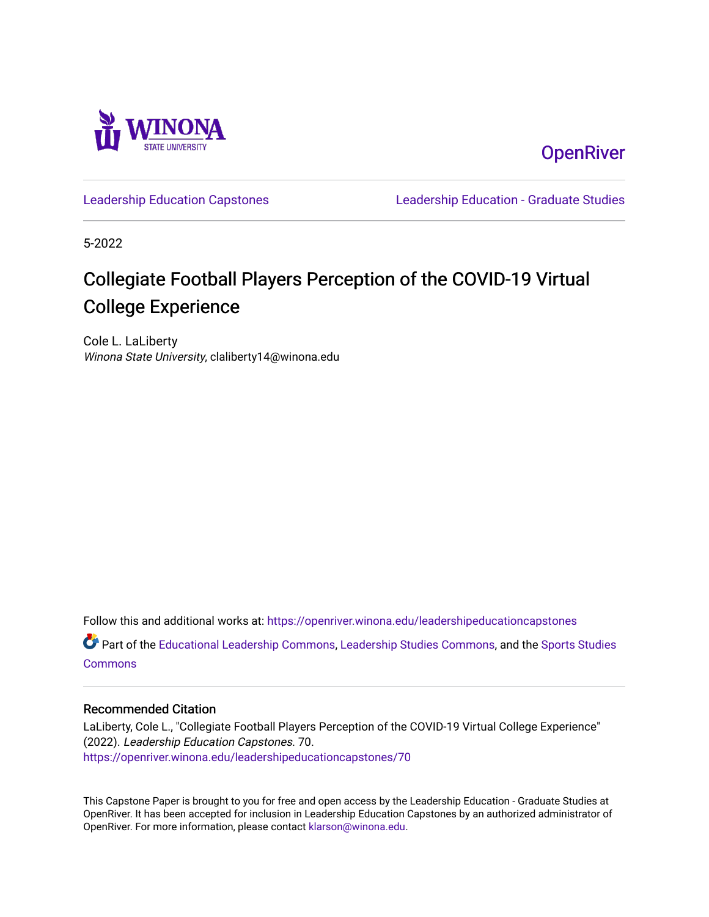

**OpenRiver** 

[Leadership Education Capstones](https://openriver.winona.edu/leadershipeducationcapstones) [Leadership Education - Graduate Studies](https://openriver.winona.edu/leadershipeducation) 

5-2022

# Collegiate Football Players Perception of the COVID-19 Virtual College Experience

Cole L. LaLiberty Winona State University, claliberty14@winona.edu

Follow this and additional works at: [https://openriver.winona.edu/leadershipeducationcapstones](https://openriver.winona.edu/leadershipeducationcapstones?utm_source=openriver.winona.edu%2Fleadershipeducationcapstones%2F70&utm_medium=PDF&utm_campaign=PDFCoverPages) 

Part of the [Educational Leadership Commons,](http://network.bepress.com/hgg/discipline/1230?utm_source=openriver.winona.edu%2Fleadershipeducationcapstones%2F70&utm_medium=PDF&utm_campaign=PDFCoverPages) [Leadership Studies Commons,](http://network.bepress.com/hgg/discipline/1250?utm_source=openriver.winona.edu%2Fleadershipeducationcapstones%2F70&utm_medium=PDF&utm_campaign=PDFCoverPages) and the [Sports Studies](http://network.bepress.com/hgg/discipline/1198?utm_source=openriver.winona.edu%2Fleadershipeducationcapstones%2F70&utm_medium=PDF&utm_campaign=PDFCoverPages)  **[Commons](http://network.bepress.com/hgg/discipline/1198?utm_source=openriver.winona.edu%2Fleadershipeducationcapstones%2F70&utm_medium=PDF&utm_campaign=PDFCoverPages)** 

## Recommended Citation

LaLiberty, Cole L., "Collegiate Football Players Perception of the COVID-19 Virtual College Experience" (2022). Leadership Education Capstones. 70. [https://openriver.winona.edu/leadershipeducationcapstones/70](https://openriver.winona.edu/leadershipeducationcapstones/70?utm_source=openriver.winona.edu%2Fleadershipeducationcapstones%2F70&utm_medium=PDF&utm_campaign=PDFCoverPages) 

This Capstone Paper is brought to you for free and open access by the Leadership Education - Graduate Studies at OpenRiver. It has been accepted for inclusion in Leadership Education Capstones by an authorized administrator of OpenRiver. For more information, please contact [klarson@winona.edu](mailto:klarson@winona.edu).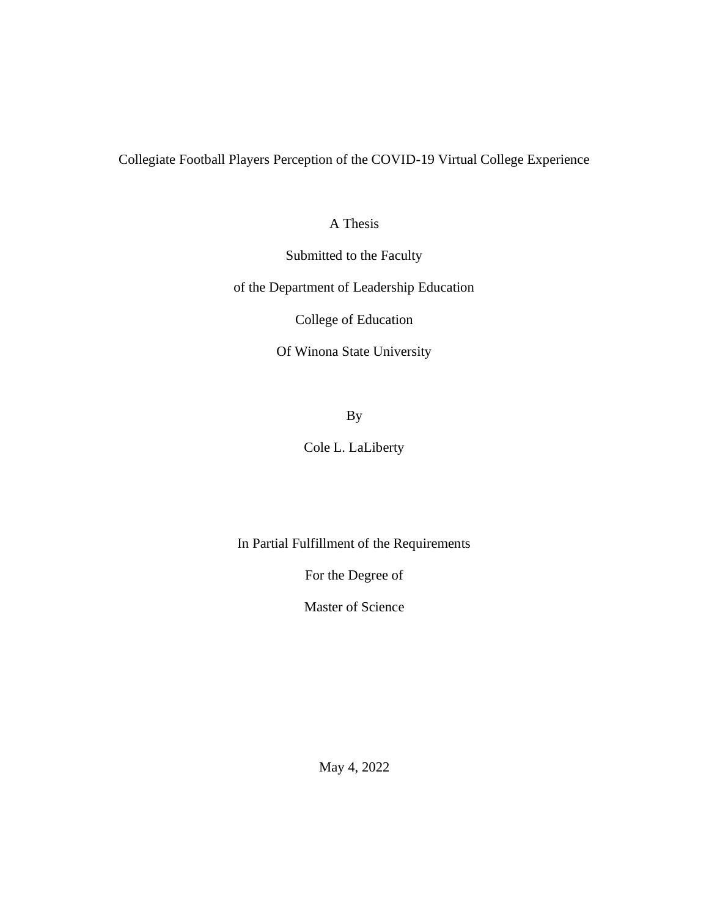Collegiate Football Players Perception of the COVID-19 Virtual College Experience

A Thesis

Submitted to the Faculty

of the Department of Leadership Education

College of Education

Of Winona State University

By

Cole L. LaLiberty

In Partial Fulfillment of the Requirements

For the Degree of

Master of Science

May 4, 2022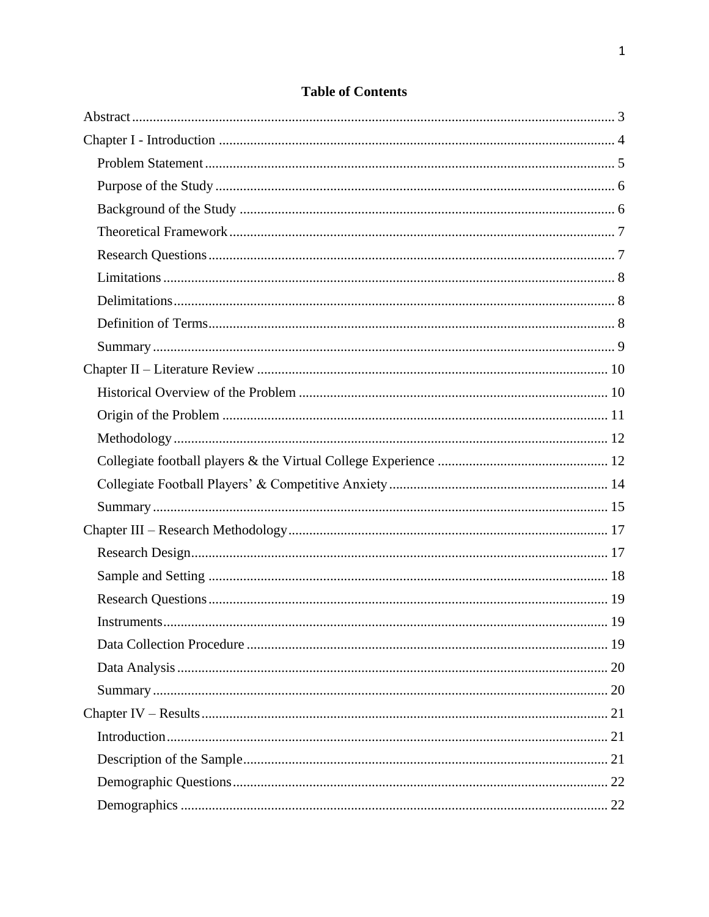## **Table of Contents**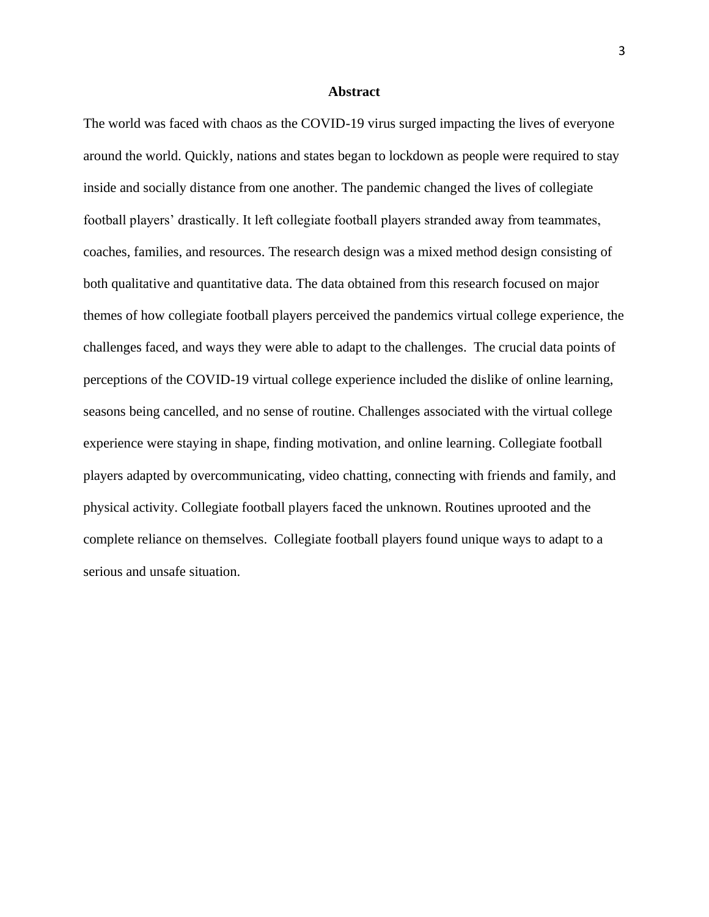#### **Abstract**

<span id="page-4-0"></span>The world was faced with chaos as the COVID-19 virus surged impacting the lives of everyone around the world. Quickly, nations and states began to lockdown as people were required to stay inside and socially distance from one another. The pandemic changed the lives of collegiate football players' drastically. It left collegiate football players stranded away from teammates, coaches, families, and resources. The research design was a mixed method design consisting of both qualitative and quantitative data. The data obtained from this research focused on major themes of how collegiate football players perceived the pandemics virtual college experience, the challenges faced, and ways they were able to adapt to the challenges. The crucial data points of perceptions of the COVID-19 virtual college experience included the dislike of online learning, seasons being cancelled, and no sense of routine. Challenges associated with the virtual college experience were staying in shape, finding motivation, and online learning. Collegiate football players adapted by overcommunicating, video chatting, connecting with friends and family, and physical activity. Collegiate football players faced the unknown. Routines uprooted and the complete reliance on themselves. Collegiate football players found unique ways to adapt to a serious and unsafe situation.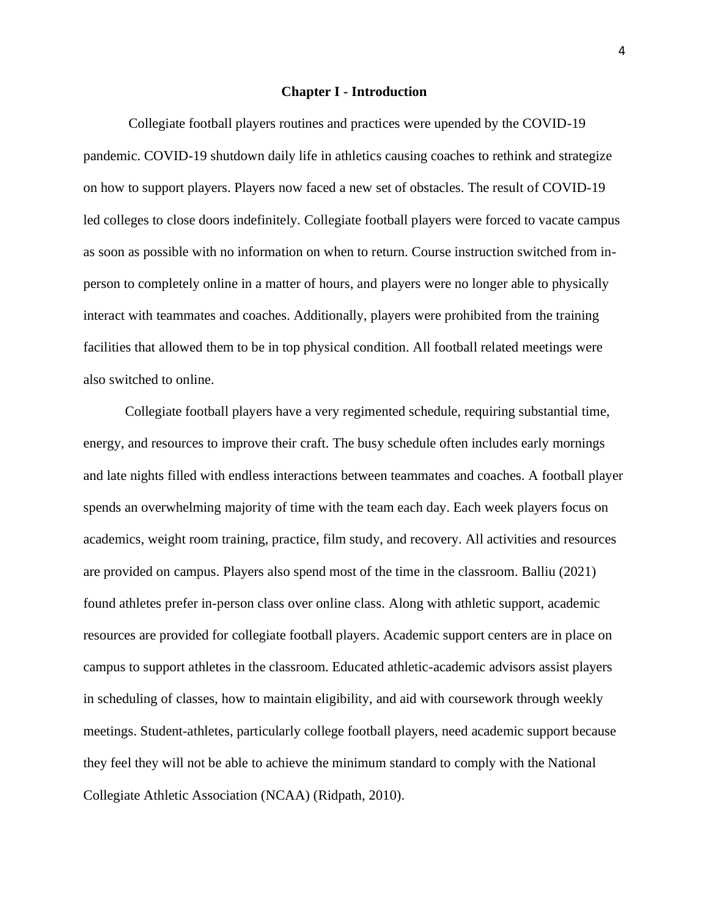#### **Chapter I - Introduction**

<span id="page-5-0"></span>Collegiate football players routines and practices were upended by the COVID-19 pandemic. COVID-19 shutdown daily life in athletics causing coaches to rethink and strategize on how to support players. Players now faced a new set of obstacles. The result of COVID-19 led colleges to close doors indefinitely. Collegiate football players were forced to vacate campus as soon as possible with no information on when to return. Course instruction switched from inperson to completely online in a matter of hours, and players were no longer able to physically interact with teammates and coaches. Additionally, players were prohibited from the training facilities that allowed them to be in top physical condition. All football related meetings were also switched to online.

Collegiate football players have a very regimented schedule, requiring substantial time, energy, and resources to improve their craft. The busy schedule often includes early mornings and late nights filled with endless interactions between teammates and coaches. A football player spends an overwhelming majority of time with the team each day. Each week players focus on academics, weight room training, practice, film study, and recovery. All activities and resources are provided on campus. Players also spend most of the time in the classroom. Balliu (2021) found athletes prefer in-person class over online class. Along with athletic support, academic resources are provided for collegiate football players. Academic support centers are in place on campus to support athletes in the classroom. Educated athletic-academic advisors assist players in scheduling of classes, how to maintain eligibility, and aid with coursework through weekly meetings. Student-athletes, particularly college football players, need academic support because they feel they will not be able to achieve the minimum standard to comply with the National Collegiate Athletic Association (NCAA) (Ridpath, 2010).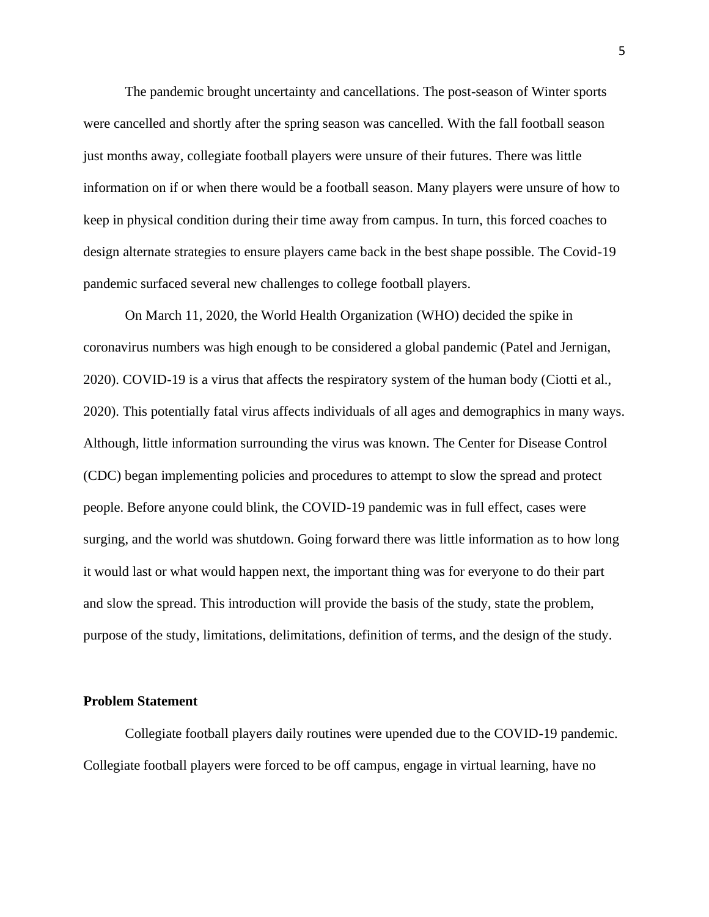The pandemic brought uncertainty and cancellations. The post-season of Winter sports were cancelled and shortly after the spring season was cancelled. With the fall football season just months away, collegiate football players were unsure of their futures. There was little information on if or when there would be a football season. Many players were unsure of how to keep in physical condition during their time away from campus. In turn, this forced coaches to design alternate strategies to ensure players came back in the best shape possible. The Covid-19 pandemic surfaced several new challenges to college football players.

On March 11, 2020, the World Health Organization (WHO) decided the spike in coronavirus numbers was high enough to be considered a global pandemic (Patel and Jernigan, 2020). COVID-19 is a virus that affects the respiratory system of the human body (Ciotti et al., 2020). This potentially fatal virus affects individuals of all ages and demographics in many ways. Although, little information surrounding the virus was known. The Center for Disease Control (CDC) began implementing policies and procedures to attempt to slow the spread and protect people. Before anyone could blink, the COVID-19 pandemic was in full effect, cases were surging, and the world was shutdown. Going forward there was little information as to how long it would last or what would happen next, the important thing was for everyone to do their part and slow the spread. This introduction will provide the basis of the study, state the problem, purpose of the study, limitations, delimitations, definition of terms, and the design of the study.

#### <span id="page-6-0"></span>**Problem Statement**

Collegiate football players daily routines were upended due to the COVID-19 pandemic. Collegiate football players were forced to be off campus, engage in virtual learning, have no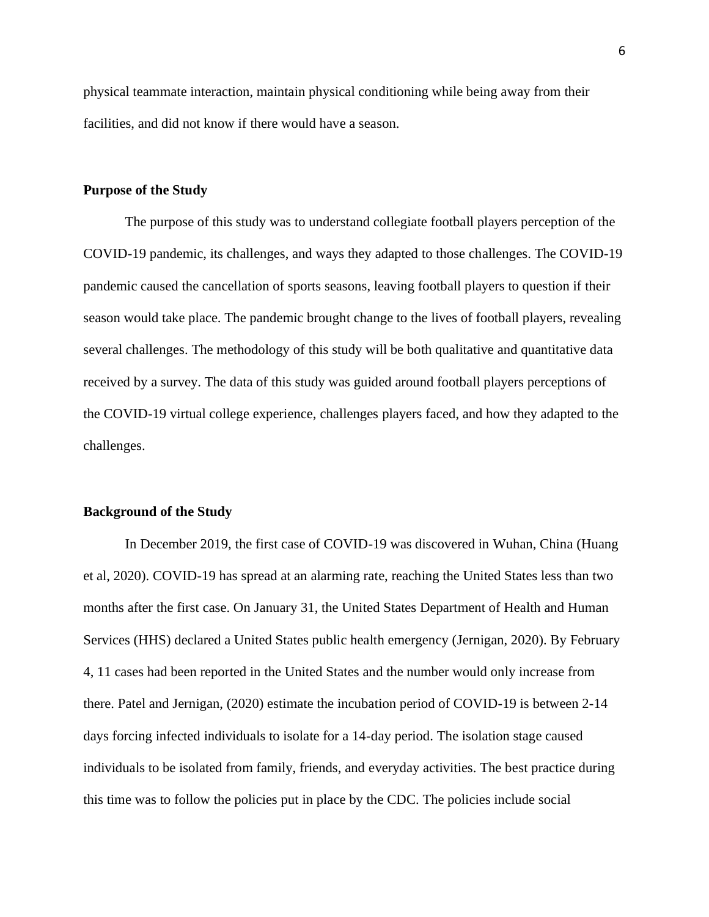physical teammate interaction, maintain physical conditioning while being away from their facilities, and did not know if there would have a season.

## <span id="page-7-0"></span>**Purpose of the Study**

The purpose of this study was to understand collegiate football players perception of the COVID-19 pandemic, its challenges, and ways they adapted to those challenges. The COVID-19 pandemic caused the cancellation of sports seasons, leaving football players to question if their season would take place. The pandemic brought change to the lives of football players, revealing several challenges. The methodology of this study will be both qualitative and quantitative data received by a survey. The data of this study was guided around football players perceptions of the COVID-19 virtual college experience, challenges players faced, and how they adapted to the challenges.

## <span id="page-7-1"></span>**Background of the Study**

In December 2019, the first case of COVID-19 was discovered in Wuhan, China (Huang et al, 2020). COVID-19 has spread at an alarming rate, reaching the United States less than two months after the first case. On January 31, the United States Department of Health and Human Services (HHS) declared a United States public health emergency (Jernigan, 2020). By February 4, 11 cases had been reported in the United States and the number would only increase from there. Patel and Jernigan, (2020) estimate the incubation period of COVID-19 is between 2-14 days forcing infected individuals to isolate for a 14-day period. The isolation stage caused individuals to be isolated from family, friends, and everyday activities. The best practice during this time was to follow the policies put in place by the CDC. The policies include social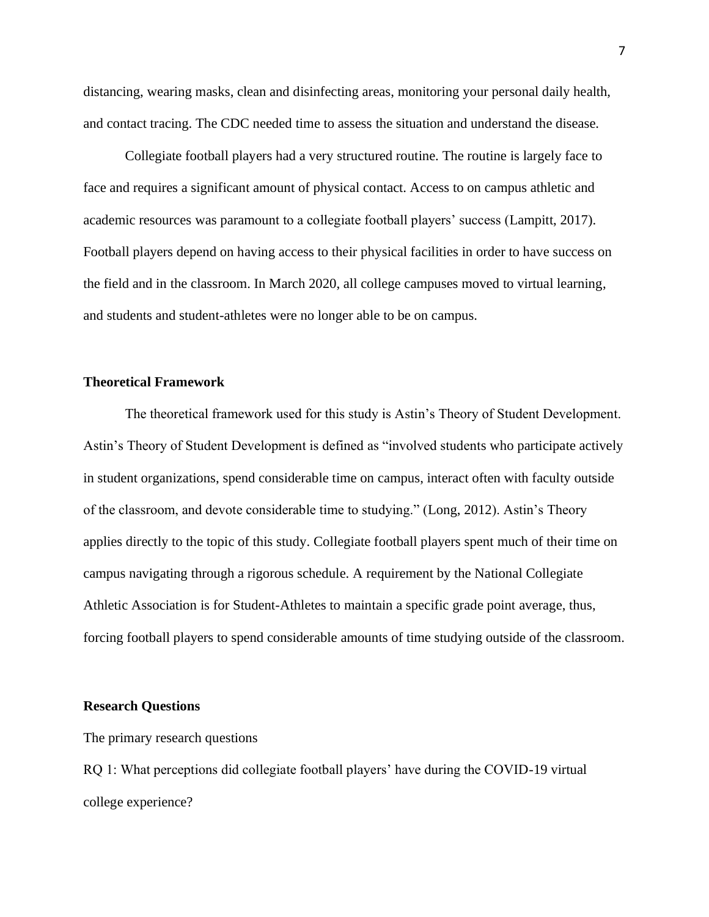distancing, wearing masks, clean and disinfecting areas, monitoring your personal daily health, and contact tracing. The CDC needed time to assess the situation and understand the disease.

Collegiate football players had a very structured routine. The routine is largely face to face and requires a significant amount of physical contact. Access to on campus athletic and academic resources was paramount to a collegiate football players' success (Lampitt, 2017). Football players depend on having access to their physical facilities in order to have success on the field and in the classroom. In March 2020, all college campuses moved to virtual learning, and students and student-athletes were no longer able to be on campus.

## <span id="page-8-0"></span>**Theoretical Framework**

The theoretical framework used for this study is Astin's Theory of Student Development. Astin's Theory of Student Development is defined as "involved students who participate actively in student organizations, spend considerable time on campus, interact often with faculty outside of the classroom, and devote considerable time to studying." (Long, 2012). Astin's Theory applies directly to the topic of this study. Collegiate football players spent much of their time on campus navigating through a rigorous schedule. A requirement by the National Collegiate Athletic Association is for Student-Athletes to maintain a specific grade point average, thus, forcing football players to spend considerable amounts of time studying outside of the classroom.

## <span id="page-8-1"></span>**Research Questions**

The primary research questions

RQ 1: What perceptions did collegiate football players' have during the COVID-19 virtual college experience?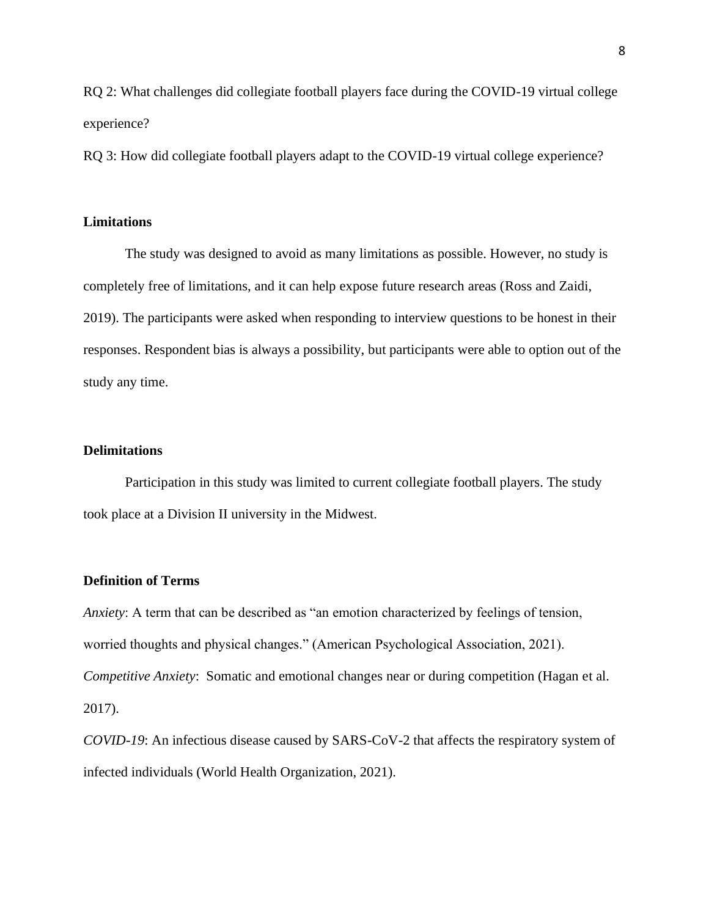RQ 2: What challenges did collegiate football players face during the COVID-19 virtual college experience?

RQ 3: How did collegiate football players adapt to the COVID-19 virtual college experience?

## <span id="page-9-0"></span>**Limitations**

The study was designed to avoid as many limitations as possible. However, no study is completely free of limitations, and it can help expose future research areas (Ross and Zaidi, 2019). The participants were asked when responding to interview questions to be honest in their responses. Respondent bias is always a possibility, but participants were able to option out of the study any time.

## <span id="page-9-1"></span>**Delimitations**

Participation in this study was limited to current collegiate football players. The study took place at a Division II university in the Midwest.

## <span id="page-9-2"></span>**Definition of Terms**

*Anxiety*: A term that can be described as "an emotion characterized by feelings of tension, worried thoughts and physical changes." (American Psychological Association, 2021). *Competitive Anxiety*: Somatic and emotional changes near or during competition (Hagan et al. 2017).

*COVID-19*: An infectious disease caused by SARS-CoV-2 that affects the respiratory system of infected individuals (World Health Organization, 2021).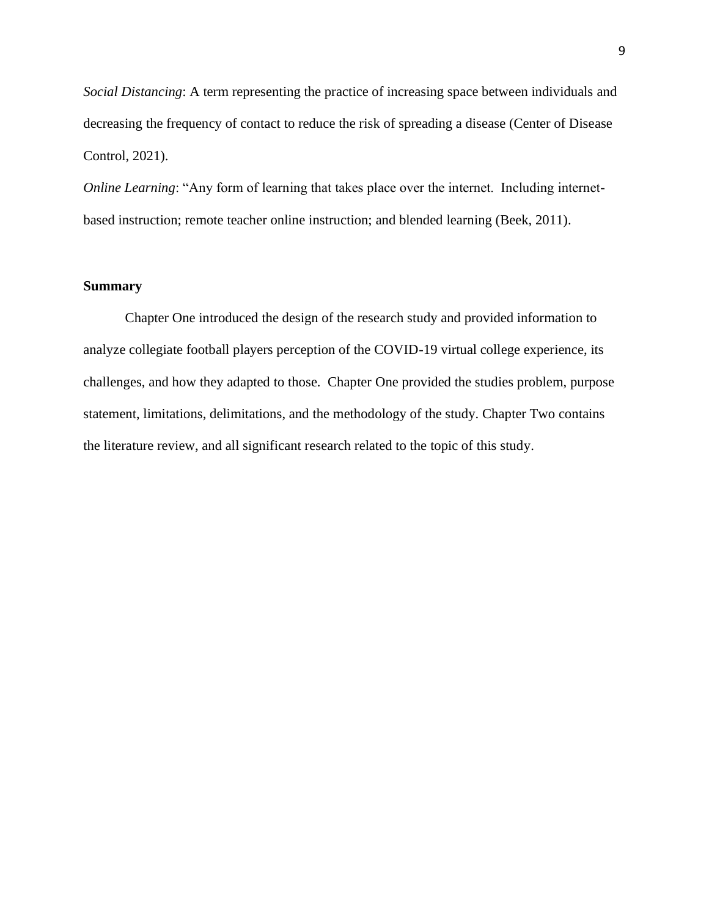*Social Distancing*: A term representing the practice of increasing space between individuals and decreasing the frequency of contact to reduce the risk of spreading a disease (Center of Disease Control, 2021).

*Online Learning*: "Any form of learning that takes place over the internet. Including internetbased instruction; remote teacher online instruction; and blended learning (Beek, 2011).

## <span id="page-10-0"></span>**Summary**

<span id="page-10-1"></span>Chapter One introduced the design of the research study and provided information to analyze collegiate football players perception of the COVID-19 virtual college experience, its challenges, and how they adapted to those. Chapter One provided the studies problem, purpose statement, limitations, delimitations, and the methodology of the study. Chapter Two contains the literature review, and all significant research related to the topic of this study.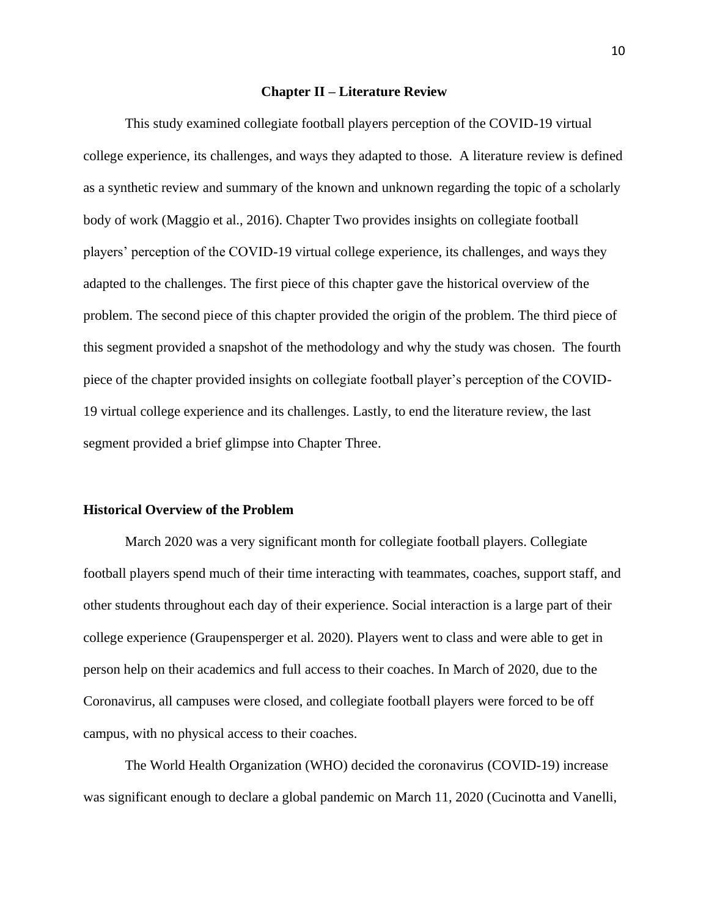#### **Chapter II – Literature Review**

This study examined collegiate football players perception of the COVID-19 virtual college experience, its challenges, and ways they adapted to those. A literature review is defined as a synthetic review and summary of the known and unknown regarding the topic of a scholarly body of work (Maggio et al., 2016). Chapter Two provides insights on collegiate football players' perception of the COVID-19 virtual college experience, its challenges, and ways they adapted to the challenges. The first piece of this chapter gave the historical overview of the problem. The second piece of this chapter provided the origin of the problem. The third piece of this segment provided a snapshot of the methodology and why the study was chosen. The fourth piece of the chapter provided insights on collegiate football player's perception of the COVID-19 virtual college experience and its challenges. Lastly, to end the literature review, the last segment provided a brief glimpse into Chapter Three.

## <span id="page-11-0"></span>**Historical Overview of the Problem**

March 2020 was a very significant month for collegiate football players. Collegiate football players spend much of their time interacting with teammates, coaches, support staff, and other students throughout each day of their experience. Social interaction is a large part of their college experience (Graupensperger et al. 2020). Players went to class and were able to get in person help on their academics and full access to their coaches. In March of 2020, due to the Coronavirus, all campuses were closed, and collegiate football players were forced to be off campus, with no physical access to their coaches.

The World Health Organization (WHO) decided the coronavirus (COVID-19) increase was significant enough to declare a global pandemic on March 11, 2020 (Cucinotta and Vanelli,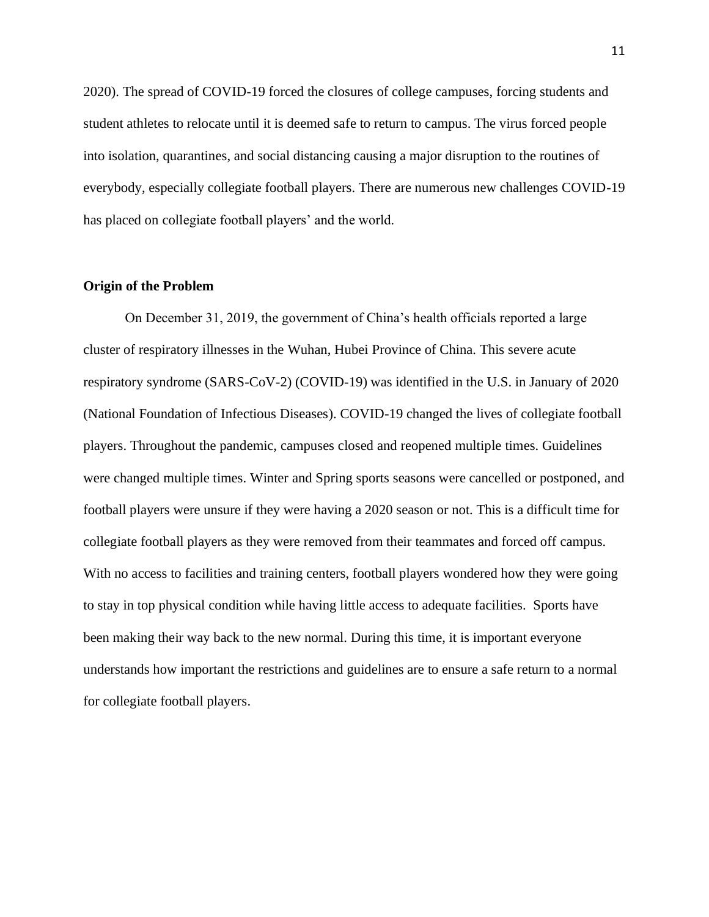2020). The spread of COVID-19 forced the closures of college campuses, forcing students and student athletes to relocate until it is deemed safe to return to campus. The virus forced people into isolation, quarantines, and social distancing causing a major disruption to the routines of everybody, especially collegiate football players. There are numerous new challenges COVID-19 has placed on collegiate football players' and the world.

#### <span id="page-12-0"></span>**Origin of the Problem**

On December 31, 2019, the government of China's health officials reported a large cluster of respiratory illnesses in the Wuhan, Hubei Province of China. This severe acute respiratory syndrome (SARS-CoV-2) (COVID-19) was identified in the U.S. in January of 2020 (National Foundation of Infectious Diseases). COVID-19 changed the lives of collegiate football players. Throughout the pandemic, campuses closed and reopened multiple times. Guidelines were changed multiple times. Winter and Spring sports seasons were cancelled or postponed, and football players were unsure if they were having a 2020 season or not. This is a difficult time for collegiate football players as they were removed from their teammates and forced off campus. With no access to facilities and training centers, football players wondered how they were going to stay in top physical condition while having little access to adequate facilities. Sports have been making their way back to the new normal. During this time, it is important everyone understands how important the restrictions and guidelines are to ensure a safe return to a normal for collegiate football players.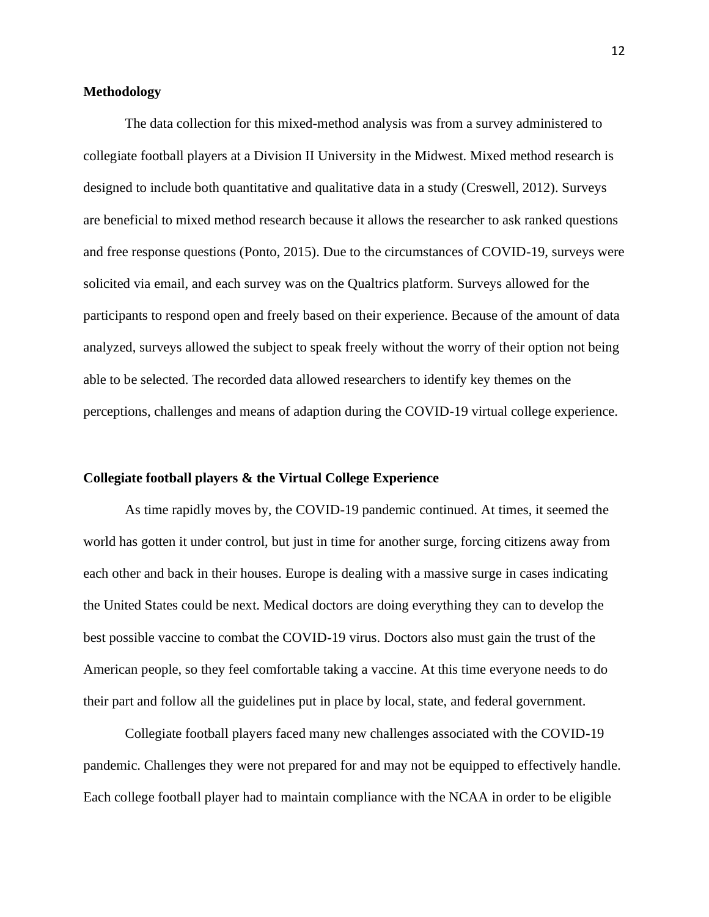## <span id="page-13-0"></span>**Methodology**

The data collection for this mixed-method analysis was from a survey administered to collegiate football players at a Division II University in the Midwest. Mixed method research is designed to include both quantitative and qualitative data in a study (Creswell, 2012). Surveys are beneficial to mixed method research because it allows the researcher to ask ranked questions and free response questions (Ponto, 2015). Due to the circumstances of COVID-19, surveys were solicited via email, and each survey was on the Qualtrics platform. Surveys allowed for the participants to respond open and freely based on their experience. Because of the amount of data analyzed, surveys allowed the subject to speak freely without the worry of their option not being able to be selected. The recorded data allowed researchers to identify key themes on the perceptions, challenges and means of adaption during the COVID-19 virtual college experience.

## <span id="page-13-1"></span>**Collegiate football players & the Virtual College Experience**

As time rapidly moves by, the COVID-19 pandemic continued. At times, it seemed the world has gotten it under control, but just in time for another surge, forcing citizens away from each other and back in their houses. Europe is dealing with a massive surge in cases indicating the United States could be next. Medical doctors are doing everything they can to develop the best possible vaccine to combat the COVID-19 virus. Doctors also must gain the trust of the American people, so they feel comfortable taking a vaccine. At this time everyone needs to do their part and follow all the guidelines put in place by local, state, and federal government.

Collegiate football players faced many new challenges associated with the COVID-19 pandemic. Challenges they were not prepared for and may not be equipped to effectively handle. Each college football player had to maintain compliance with the NCAA in order to be eligible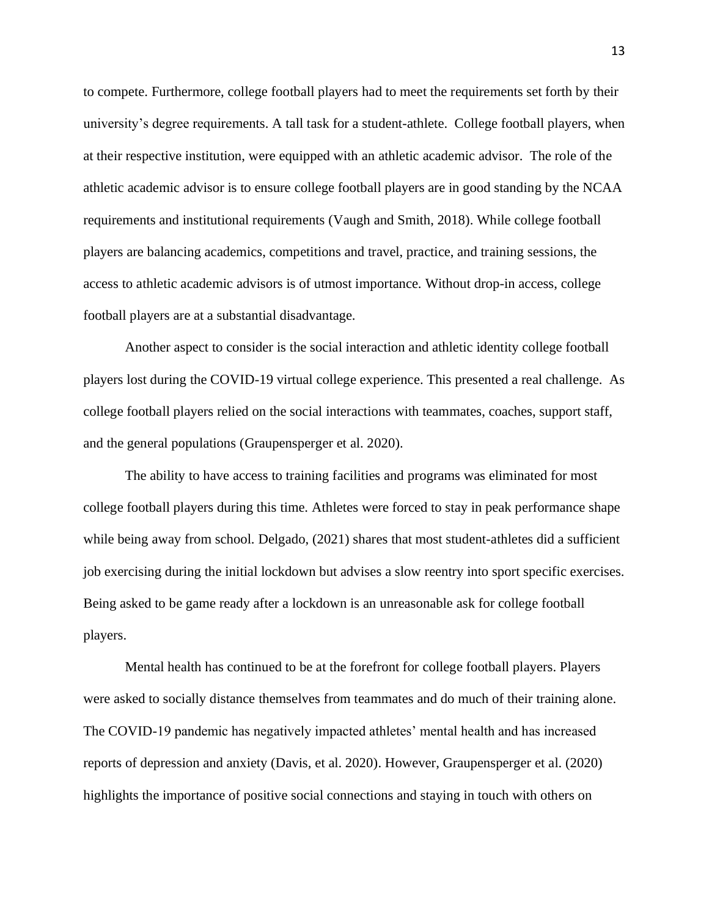to compete. Furthermore, college football players had to meet the requirements set forth by their university's degree requirements. A tall task for a student-athlete. College football players, when at their respective institution, were equipped with an athletic academic advisor. The role of the athletic academic advisor is to ensure college football players are in good standing by the NCAA requirements and institutional requirements (Vaugh and Smith, 2018). While college football players are balancing academics, competitions and travel, practice, and training sessions, the access to athletic academic advisors is of utmost importance. Without drop-in access, college football players are at a substantial disadvantage.

Another aspect to consider is the social interaction and athletic identity college football players lost during the COVID-19 virtual college experience. This presented a real challenge. As college football players relied on the social interactions with teammates, coaches, support staff, and the general populations (Graupensperger et al. 2020).

The ability to have access to training facilities and programs was eliminated for most college football players during this time. Athletes were forced to stay in peak performance shape while being away from school. Delgado, (2021) shares that most student-athletes did a sufficient job exercising during the initial lockdown but advises a slow reentry into sport specific exercises. Being asked to be game ready after a lockdown is an unreasonable ask for college football players.

Mental health has continued to be at the forefront for college football players. Players were asked to socially distance themselves from teammates and do much of their training alone. The COVID-19 pandemic has negatively impacted athletes' mental health and has increased reports of depression and anxiety (Davis, et al. 2020). However, Graupensperger et al. (2020) highlights the importance of positive social connections and staying in touch with others on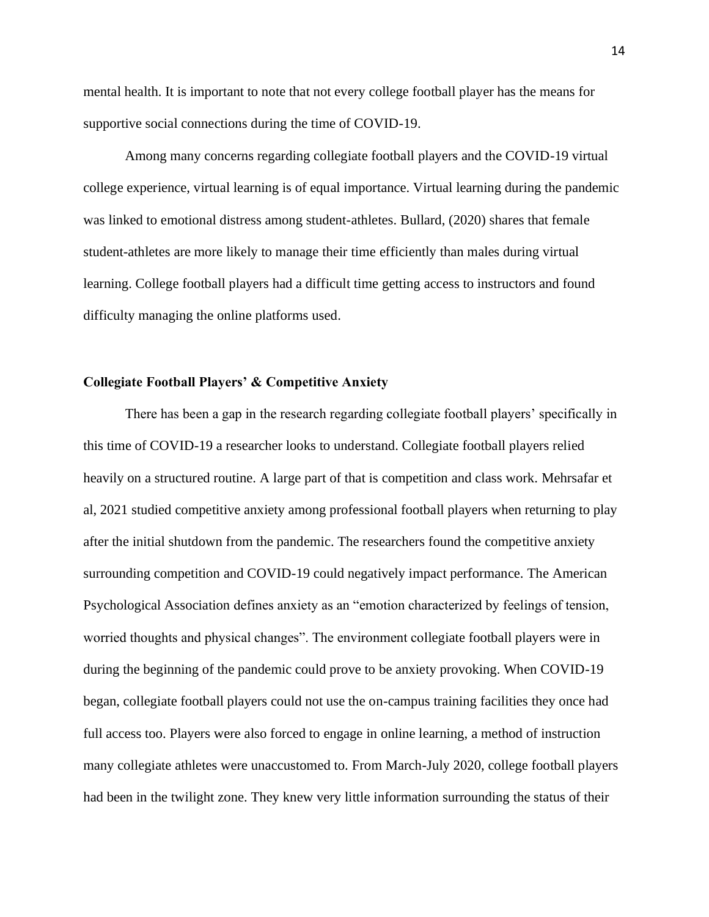mental health. It is important to note that not every college football player has the means for supportive social connections during the time of COVID-19.

Among many concerns regarding collegiate football players and the COVID-19 virtual college experience, virtual learning is of equal importance. Virtual learning during the pandemic was linked to emotional distress among student-athletes. Bullard, (2020) shares that female student-athletes are more likely to manage their time efficiently than males during virtual learning. College football players had a difficult time getting access to instructors and found difficulty managing the online platforms used.

## <span id="page-15-0"></span>**Collegiate Football Players' & Competitive Anxiety**

There has been a gap in the research regarding collegiate football players' specifically in this time of COVID-19 a researcher looks to understand. Collegiate football players relied heavily on a structured routine. A large part of that is competition and class work. Mehrsafar et al, 2021 studied competitive anxiety among professional football players when returning to play after the initial shutdown from the pandemic. The researchers found the competitive anxiety surrounding competition and COVID-19 could negatively impact performance. The American Psychological Association defines anxiety as an "emotion characterized by feelings of tension, worried thoughts and physical changes". The environment collegiate football players were in during the beginning of the pandemic could prove to be anxiety provoking. When COVID-19 began, collegiate football players could not use the on-campus training facilities they once had full access too. Players were also forced to engage in online learning, a method of instruction many collegiate athletes were unaccustomed to. From March-July 2020, college football players had been in the twilight zone. They knew very little information surrounding the status of their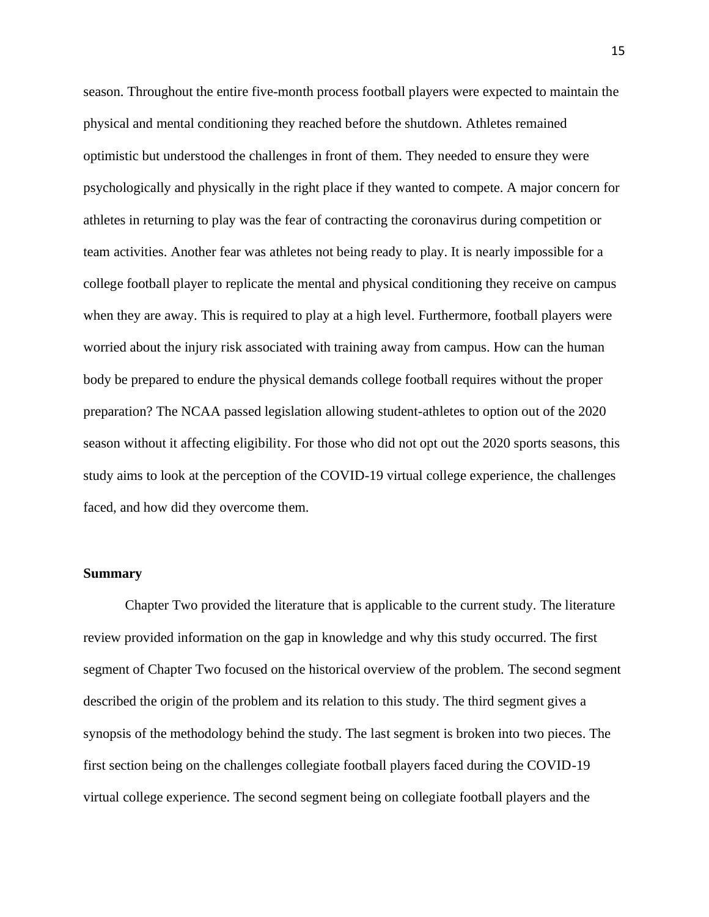season. Throughout the entire five-month process football players were expected to maintain the physical and mental conditioning they reached before the shutdown. Athletes remained optimistic but understood the challenges in front of them. They needed to ensure they were psychologically and physically in the right place if they wanted to compete. A major concern for athletes in returning to play was the fear of contracting the coronavirus during competition or team activities. Another fear was athletes not being ready to play. It is nearly impossible for a college football player to replicate the mental and physical conditioning they receive on campus when they are away. This is required to play at a high level. Furthermore, football players were worried about the injury risk associated with training away from campus. How can the human body be prepared to endure the physical demands college football requires without the proper preparation? The NCAA passed legislation allowing student-athletes to option out of the 2020 season without it affecting eligibility. For those who did not opt out the 2020 sports seasons, this study aims to look at the perception of the COVID-19 virtual college experience, the challenges faced, and how did they overcome them.

## <span id="page-16-0"></span>**Summary**

Chapter Two provided the literature that is applicable to the current study. The literature review provided information on the gap in knowledge and why this study occurred. The first segment of Chapter Two focused on the historical overview of the problem. The second segment described the origin of the problem and its relation to this study. The third segment gives a synopsis of the methodology behind the study. The last segment is broken into two pieces. The first section being on the challenges collegiate football players faced during the COVID-19 virtual college experience. The second segment being on collegiate football players and the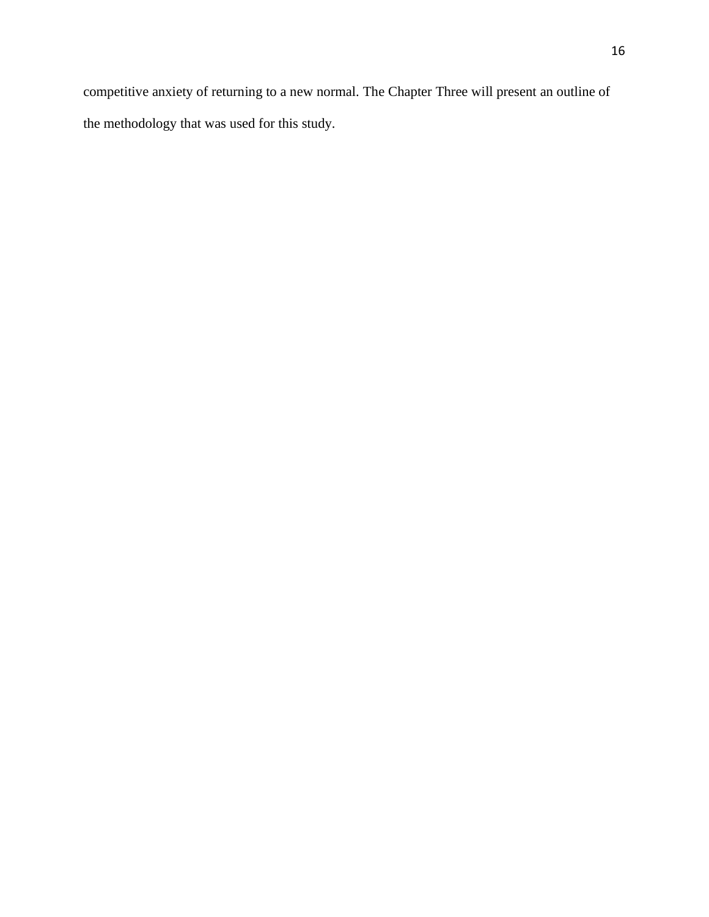competitive anxiety of returning to a new normal. The Chapter Three will present an outline of the methodology that was used for this study.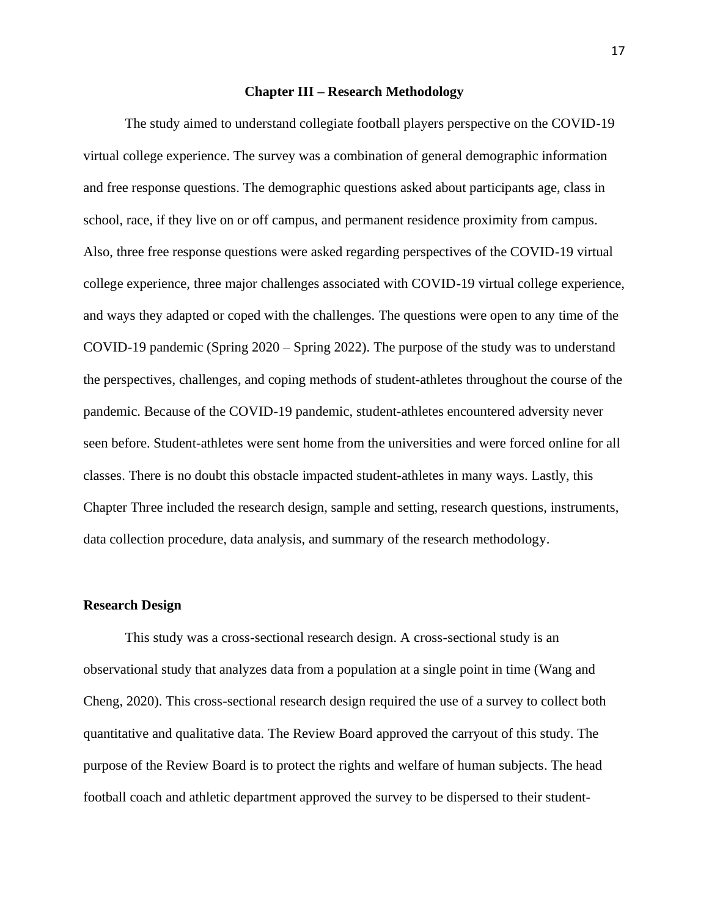#### **Chapter III – Research Methodology**

<span id="page-18-0"></span>The study aimed to understand collegiate football players perspective on the COVID-19 virtual college experience. The survey was a combination of general demographic information and free response questions. The demographic questions asked about participants age, class in school, race, if they live on or off campus, and permanent residence proximity from campus. Also, three free response questions were asked regarding perspectives of the COVID-19 virtual college experience, three major challenges associated with COVID-19 virtual college experience, and ways they adapted or coped with the challenges. The questions were open to any time of the COVID-19 pandemic (Spring 2020 – Spring 2022). The purpose of the study was to understand the perspectives, challenges, and coping methods of student-athletes throughout the course of the pandemic. Because of the COVID-19 pandemic, student-athletes encountered adversity never seen before. Student-athletes were sent home from the universities and were forced online for all classes. There is no doubt this obstacle impacted student-athletes in many ways. Lastly, this Chapter Three included the research design, sample and setting, research questions, instruments, data collection procedure, data analysis, and summary of the research methodology.

#### <span id="page-18-1"></span>**Research Design**

This study was a cross-sectional research design. A cross-sectional study is an observational study that analyzes data from a population at a single point in time (Wang and Cheng, 2020). This cross-sectional research design required the use of a survey to collect both quantitative and qualitative data. The Review Board approved the carryout of this study. The purpose of the Review Board is to protect the rights and welfare of human subjects. The head football coach and athletic department approved the survey to be dispersed to their student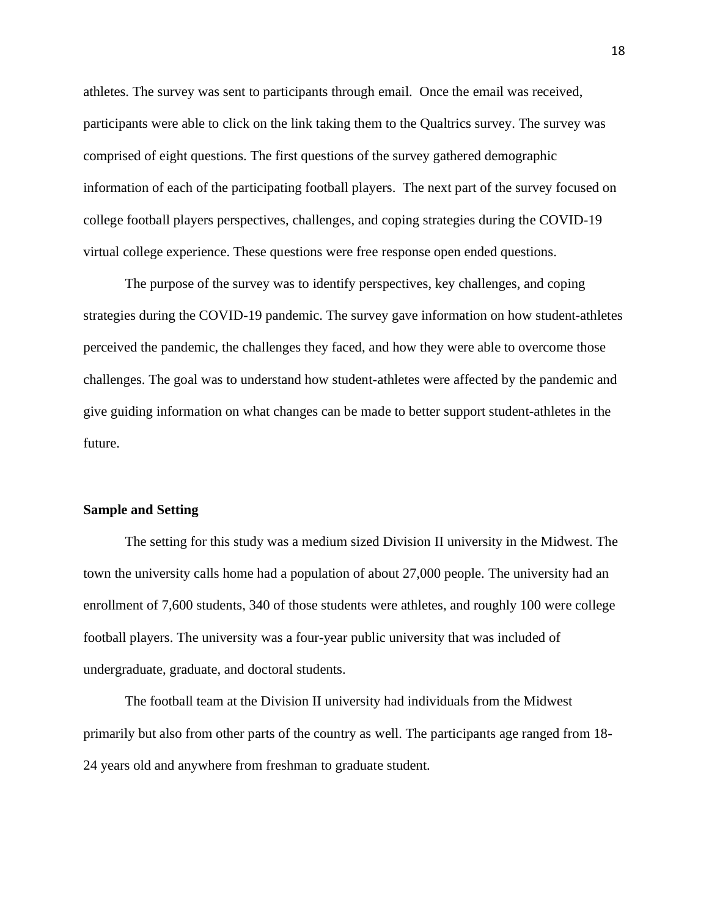athletes. The survey was sent to participants through email. Once the email was received, participants were able to click on the link taking them to the Qualtrics survey. The survey was comprised of eight questions. The first questions of the survey gathered demographic information of each of the participating football players. The next part of the survey focused on college football players perspectives, challenges, and coping strategies during the COVID-19 virtual college experience. These questions were free response open ended questions.

The purpose of the survey was to identify perspectives, key challenges, and coping strategies during the COVID-19 pandemic. The survey gave information on how student-athletes perceived the pandemic, the challenges they faced, and how they were able to overcome those challenges. The goal was to understand how student-athletes were affected by the pandemic and give guiding information on what changes can be made to better support student-athletes in the future.

## <span id="page-19-0"></span>**Sample and Setting**

The setting for this study was a medium sized Division II university in the Midwest. The town the university calls home had a population of about 27,000 people. The university had an enrollment of 7,600 students, 340 of those students were athletes, and roughly 100 were college football players. The university was a four-year public university that was included of undergraduate, graduate, and doctoral students.

The football team at the Division II university had individuals from the Midwest primarily but also from other parts of the country as well. The participants age ranged from 18- 24 years old and anywhere from freshman to graduate student.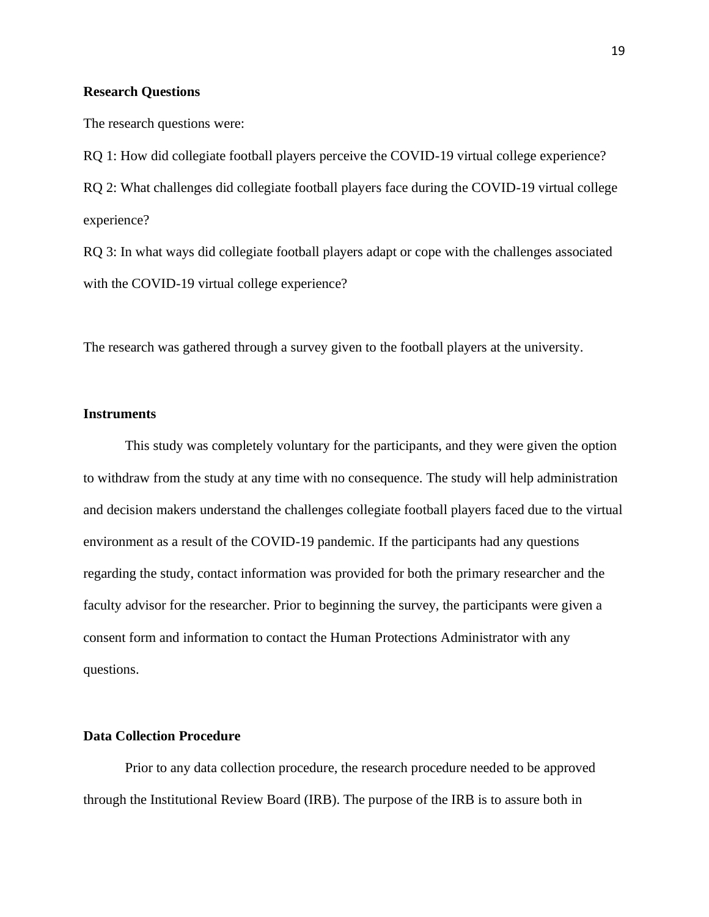## <span id="page-20-0"></span>**Research Questions**

The research questions were:

RQ 1: How did collegiate football players perceive the COVID-19 virtual college experience? RQ 2: What challenges did collegiate football players face during the COVID-19 virtual college experience?

RQ 3: In what ways did collegiate football players adapt or cope with the challenges associated with the COVID-19 virtual college experience?

The research was gathered through a survey given to the football players at the university.

## <span id="page-20-1"></span>**Instruments**

This study was completely voluntary for the participants, and they were given the option to withdraw from the study at any time with no consequence. The study will help administration and decision makers understand the challenges collegiate football players faced due to the virtual environment as a result of the COVID-19 pandemic. If the participants had any questions regarding the study, contact information was provided for both the primary researcher and the faculty advisor for the researcher. Prior to beginning the survey, the participants were given a consent form and information to contact the Human Protections Administrator with any questions.

## <span id="page-20-2"></span>**Data Collection Procedure**

Prior to any data collection procedure, the research procedure needed to be approved through the Institutional Review Board (IRB). The purpose of the IRB is to assure both in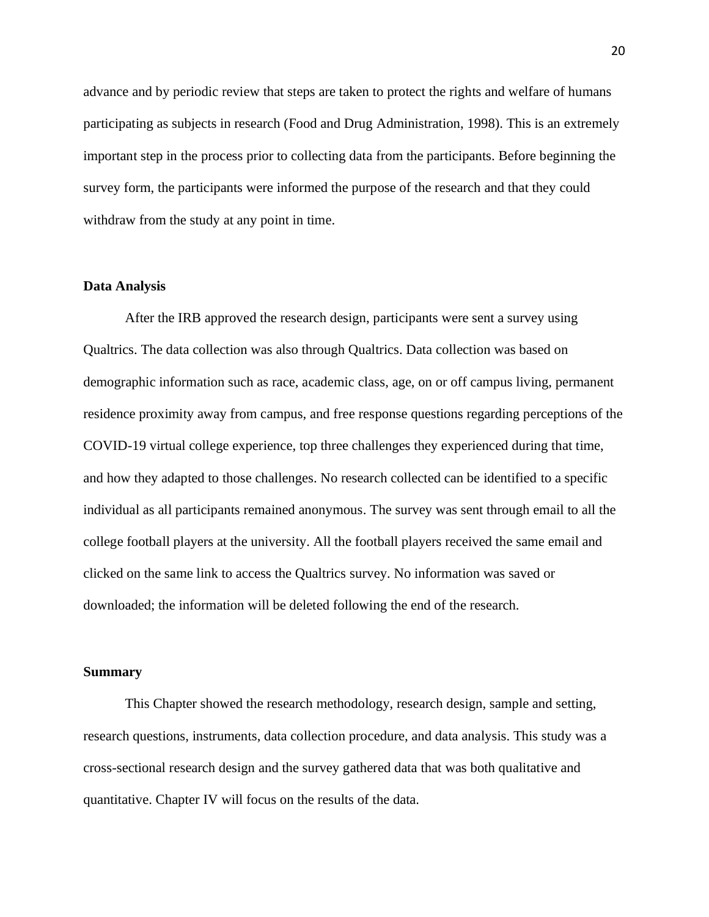advance and by periodic review that steps are taken to protect the rights and welfare of humans participating as subjects in research (Food and Drug Administration, 1998). This is an extremely important step in the process prior to collecting data from the participants. Before beginning the survey form, the participants were informed the purpose of the research and that they could withdraw from the study at any point in time.

## <span id="page-21-0"></span>**Data Analysis**

After the IRB approved the research design, participants were sent a survey using Qualtrics. The data collection was also through Qualtrics. Data collection was based on demographic information such as race, academic class, age, on or off campus living, permanent residence proximity away from campus, and free response questions regarding perceptions of the COVID-19 virtual college experience, top three challenges they experienced during that time, and how they adapted to those challenges. No research collected can be identified to a specific individual as all participants remained anonymous. The survey was sent through email to all the college football players at the university. All the football players received the same email and clicked on the same link to access the Qualtrics survey. No information was saved or downloaded; the information will be deleted following the end of the research.

#### <span id="page-21-1"></span>**Summary**

This Chapter showed the research methodology, research design, sample and setting, research questions, instruments, data collection procedure, and data analysis. This study was a cross-sectional research design and the survey gathered data that was both qualitative and quantitative. Chapter IV will focus on the results of the data.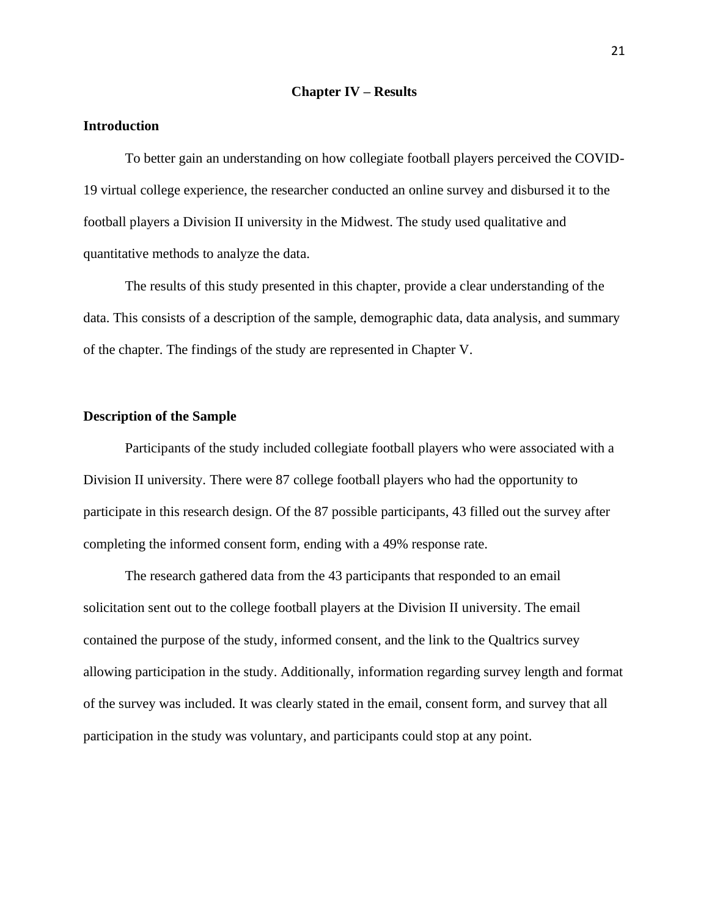#### **Chapter IV – Results**

#### <span id="page-22-1"></span><span id="page-22-0"></span>**Introduction**

To better gain an understanding on how collegiate football players perceived the COVID-19 virtual college experience, the researcher conducted an online survey and disbursed it to the football players a Division II university in the Midwest. The study used qualitative and quantitative methods to analyze the data.

The results of this study presented in this chapter, provide a clear understanding of the data. This consists of a description of the sample, demographic data, data analysis, and summary of the chapter. The findings of the study are represented in Chapter V.

## <span id="page-22-2"></span>**Description of the Sample**

Participants of the study included collegiate football players who were associated with a Division II university. There were 87 college football players who had the opportunity to participate in this research design. Of the 87 possible participants, 43 filled out the survey after completing the informed consent form, ending with a 49% response rate.

The research gathered data from the 43 participants that responded to an email solicitation sent out to the college football players at the Division II university. The email contained the purpose of the study, informed consent, and the link to the Qualtrics survey allowing participation in the study. Additionally, information regarding survey length and format of the survey was included. It was clearly stated in the email, consent form, and survey that all participation in the study was voluntary, and participants could stop at any point.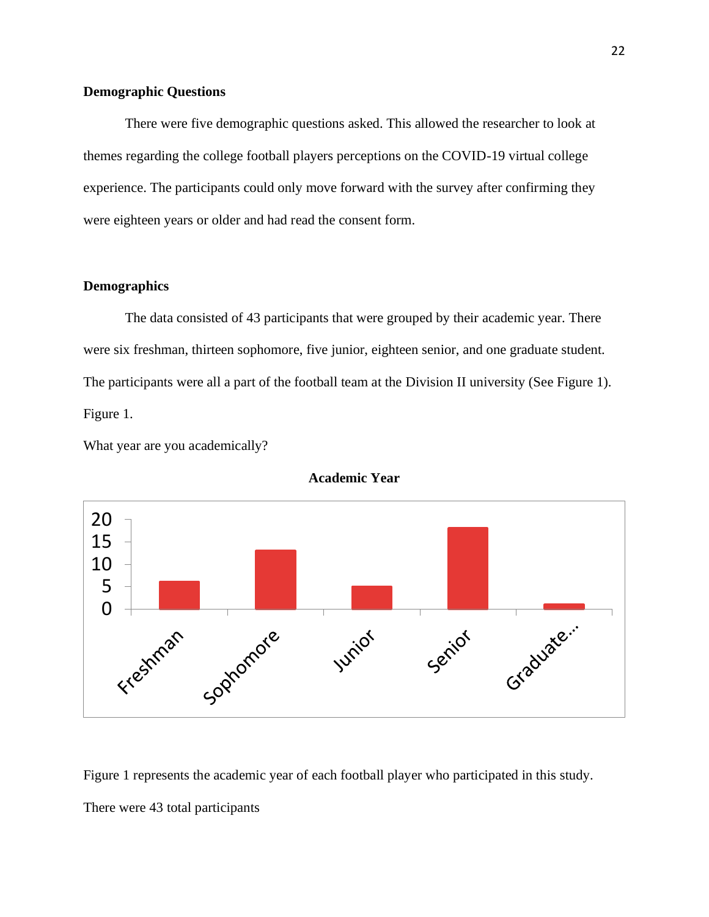## <span id="page-23-0"></span>**Demographic Questions**

There were five demographic questions asked. This allowed the researcher to look at themes regarding the college football players perceptions on the COVID-19 virtual college experience. The participants could only move forward with the survey after confirming they were eighteen years or older and had read the consent form.

## <span id="page-23-1"></span>**Demographics**

The data consisted of 43 participants that were grouped by their academic year. There were six freshman, thirteen sophomore, five junior, eighteen senior, and one graduate student. The participants were all a part of the football team at the Division II university (See Figure 1). Figure 1.

What year are you academically?



**Academic Year**

Figure 1 represents the academic year of each football player who participated in this study. There were 43 total participants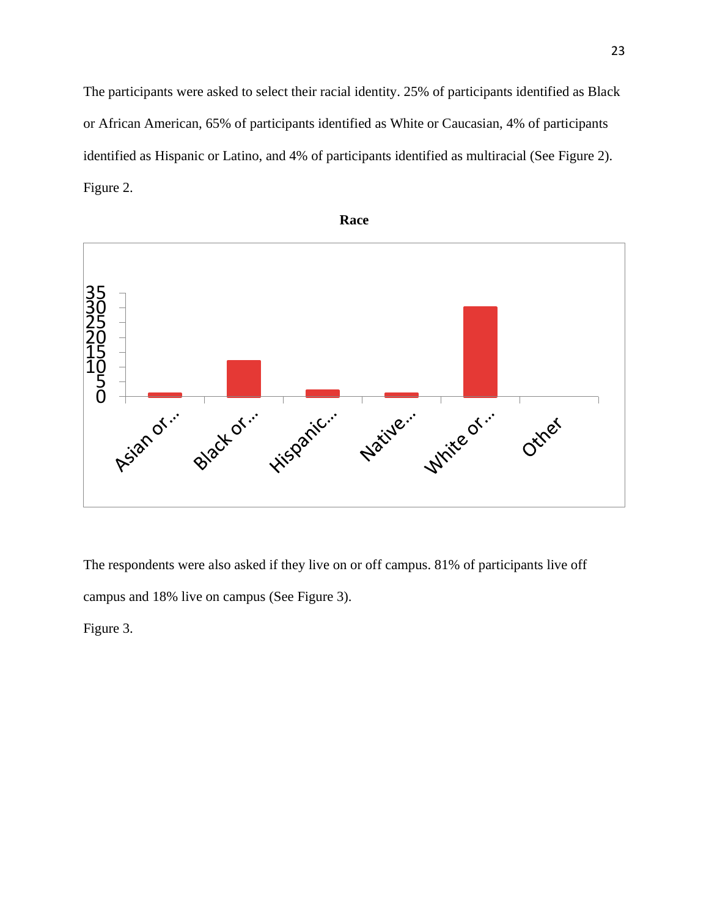The participants were asked to select their racial identity. 25% of participants identified as Black or African American, 65% of participants identified as White or Caucasian, 4% of participants identified as Hispanic or Latino, and 4% of participants identified as multiracial (See Figure 2). Figure 2.



The respondents were also asked if they live on or off campus. 81% of participants live off campus and 18% live on campus (See Figure 3).

Figure 3.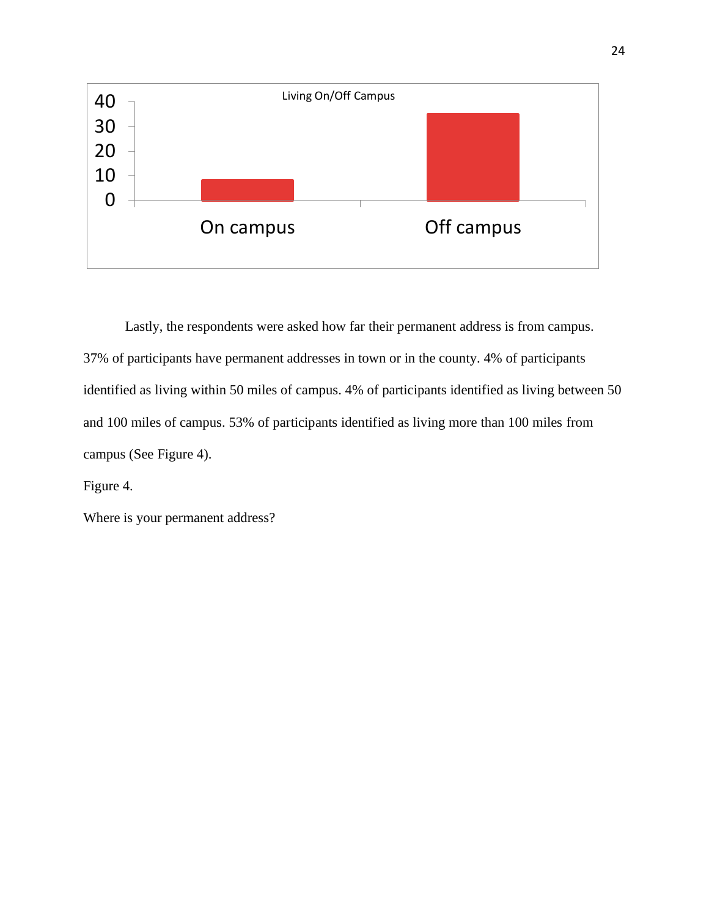

Lastly, the respondents were asked how far their permanent address is from campus. 37% of participants have permanent addresses in town or in the county. 4% of participants identified as living within 50 miles of campus. 4% of participants identified as living between 50 and 100 miles of campus. 53% of participants identified as living more than 100 miles from campus (See Figure 4).

Figure 4.

Where is your permanent address?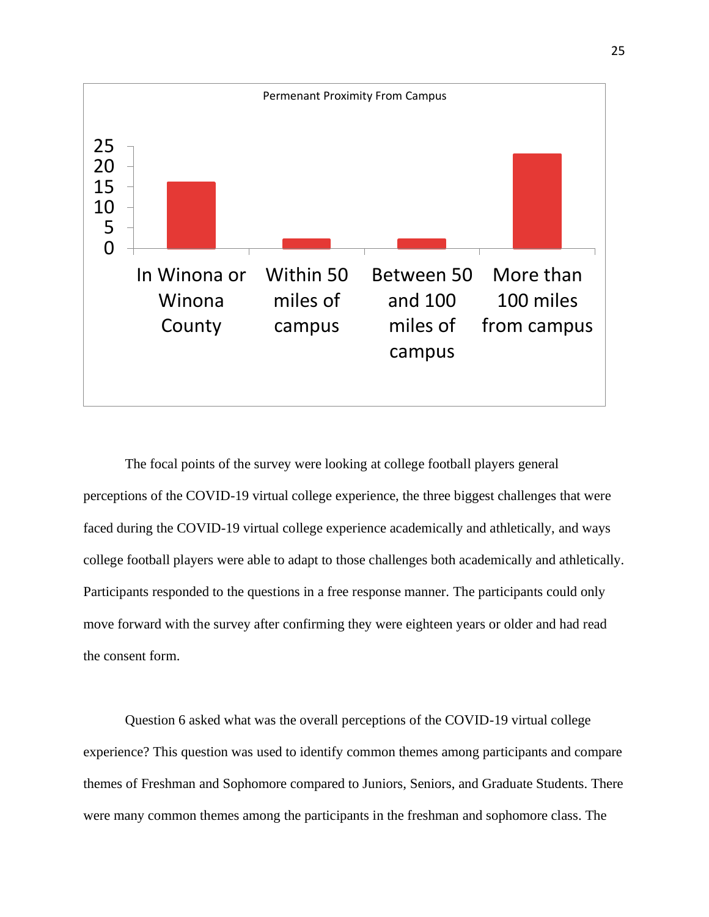

The focal points of the survey were looking at college football players general perceptions of the COVID-19 virtual college experience, the three biggest challenges that were faced during the COVID-19 virtual college experience academically and athletically, and ways college football players were able to adapt to those challenges both academically and athletically. Participants responded to the questions in a free response manner. The participants could only move forward with the survey after confirming they were eighteen years or older and had read the consent form.

Question 6 asked what was the overall perceptions of the COVID-19 virtual college experience? This question was used to identify common themes among participants and compare themes of Freshman and Sophomore compared to Juniors, Seniors, and Graduate Students. There were many common themes among the participants in the freshman and sophomore class. The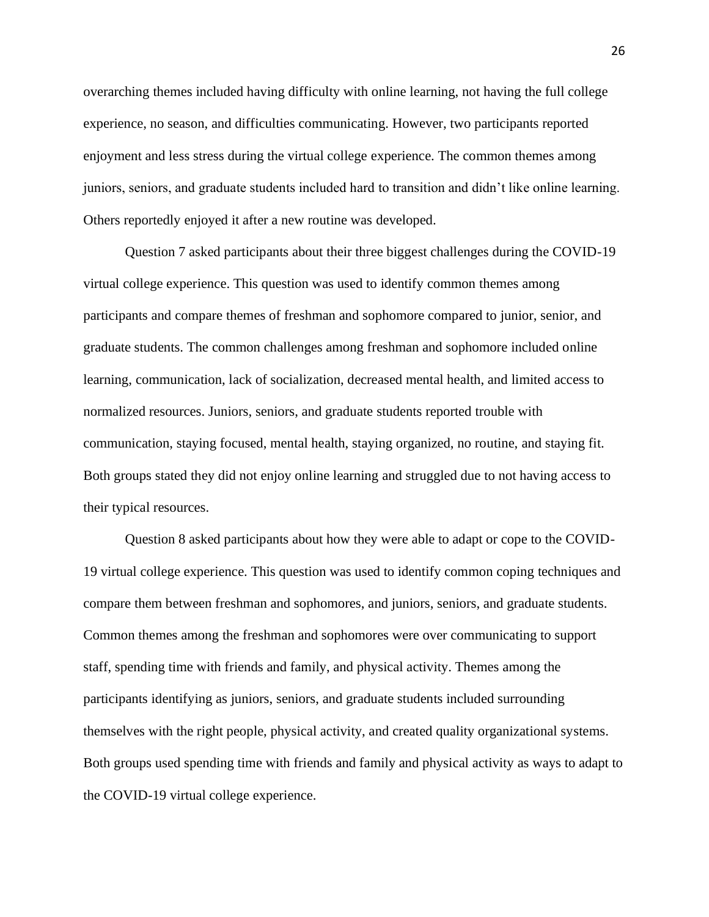overarching themes included having difficulty with online learning, not having the full college experience, no season, and difficulties communicating. However, two participants reported enjoyment and less stress during the virtual college experience. The common themes among juniors, seniors, and graduate students included hard to transition and didn't like online learning. Others reportedly enjoyed it after a new routine was developed.

Question 7 asked participants about their three biggest challenges during the COVID-19 virtual college experience. This question was used to identify common themes among participants and compare themes of freshman and sophomore compared to junior, senior, and graduate students. The common challenges among freshman and sophomore included online learning, communication, lack of socialization, decreased mental health, and limited access to normalized resources. Juniors, seniors, and graduate students reported trouble with communication, staying focused, mental health, staying organized, no routine, and staying fit. Both groups stated they did not enjoy online learning and struggled due to not having access to their typical resources.

Question 8 asked participants about how they were able to adapt or cope to the COVID-19 virtual college experience. This question was used to identify common coping techniques and compare them between freshman and sophomores, and juniors, seniors, and graduate students. Common themes among the freshman and sophomores were over communicating to support staff, spending time with friends and family, and physical activity. Themes among the participants identifying as juniors, seniors, and graduate students included surrounding themselves with the right people, physical activity, and created quality organizational systems. Both groups used spending time with friends and family and physical activity as ways to adapt to the COVID-19 virtual college experience.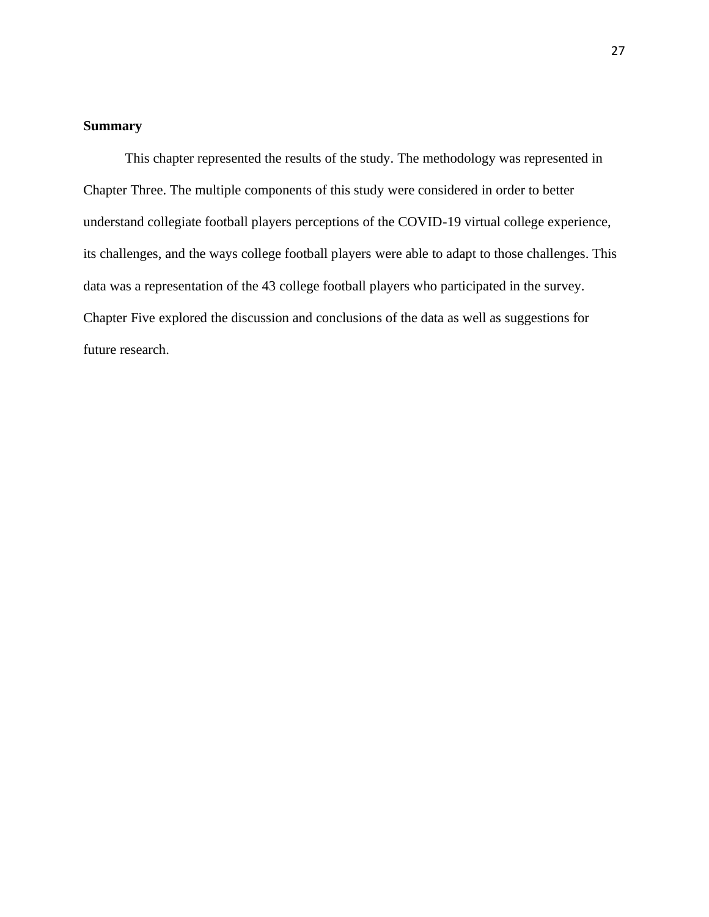## <span id="page-28-0"></span>**Summary**

This chapter represented the results of the study. The methodology was represented in Chapter Three. The multiple components of this study were considered in order to better understand collegiate football players perceptions of the COVID-19 virtual college experience, its challenges, and the ways college football players were able to adapt to those challenges. This data was a representation of the 43 college football players who participated in the survey. Chapter Five explored the discussion and conclusions of the data as well as suggestions for future research.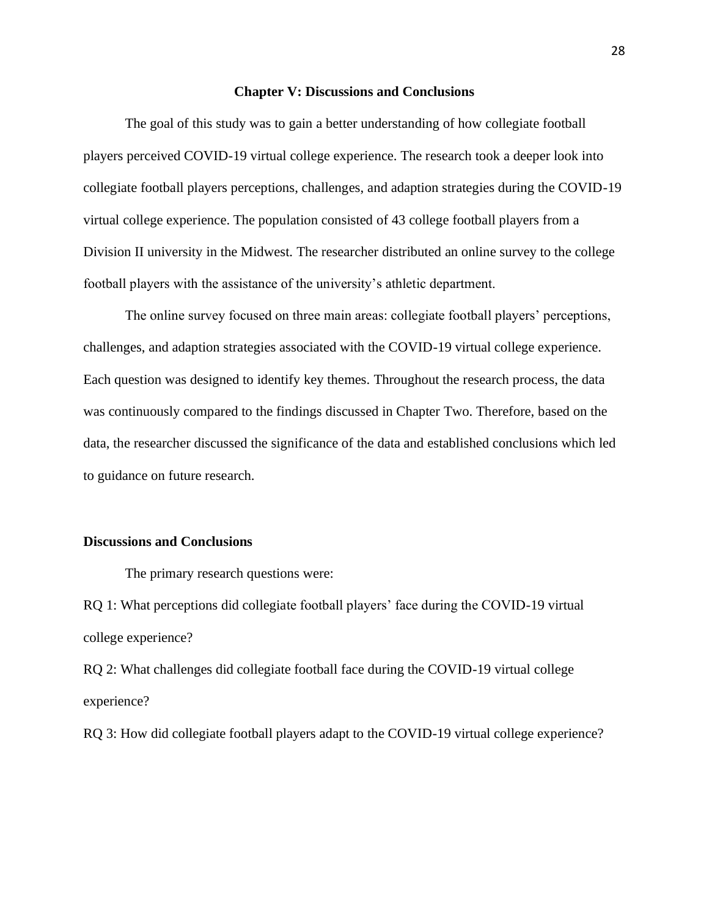#### **Chapter V: Discussions and Conclusions**

<span id="page-29-0"></span>The goal of this study was to gain a better understanding of how collegiate football players perceived COVID-19 virtual college experience. The research took a deeper look into collegiate football players perceptions, challenges, and adaption strategies during the COVID-19 virtual college experience. The population consisted of 43 college football players from a Division II university in the Midwest. The researcher distributed an online survey to the college football players with the assistance of the university's athletic department.

The online survey focused on three main areas: collegiate football players' perceptions, challenges, and adaption strategies associated with the COVID-19 virtual college experience. Each question was designed to identify key themes. Throughout the research process, the data was continuously compared to the findings discussed in Chapter Two. Therefore, based on the data, the researcher discussed the significance of the data and established conclusions which led to guidance on future research.

## <span id="page-29-1"></span>**Discussions and Conclusions**

The primary research questions were:

RQ 1: What perceptions did collegiate football players' face during the COVID-19 virtual college experience?

RQ 2: What challenges did collegiate football face during the COVID-19 virtual college experience?

RQ 3: How did collegiate football players adapt to the COVID-19 virtual college experience?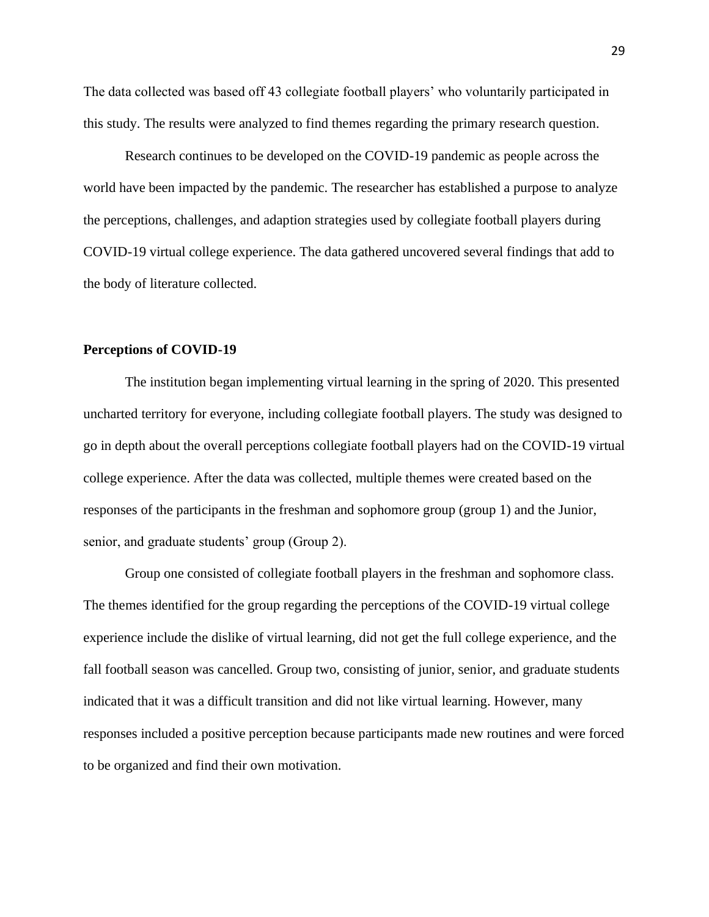The data collected was based off 43 collegiate football players' who voluntarily participated in this study. The results were analyzed to find themes regarding the primary research question.

Research continues to be developed on the COVID-19 pandemic as people across the world have been impacted by the pandemic. The researcher has established a purpose to analyze the perceptions, challenges, and adaption strategies used by collegiate football players during COVID-19 virtual college experience. The data gathered uncovered several findings that add to the body of literature collected.

## <span id="page-30-0"></span>**Perceptions of COVID-19**

The institution began implementing virtual learning in the spring of 2020. This presented uncharted territory for everyone, including collegiate football players. The study was designed to go in depth about the overall perceptions collegiate football players had on the COVID-19 virtual college experience. After the data was collected, multiple themes were created based on the responses of the participants in the freshman and sophomore group (group 1) and the Junior, senior, and graduate students' group (Group 2).

Group one consisted of collegiate football players in the freshman and sophomore class. The themes identified for the group regarding the perceptions of the COVID-19 virtual college experience include the dislike of virtual learning, did not get the full college experience, and the fall football season was cancelled. Group two, consisting of junior, senior, and graduate students indicated that it was a difficult transition and did not like virtual learning. However, many responses included a positive perception because participants made new routines and were forced to be organized and find their own motivation.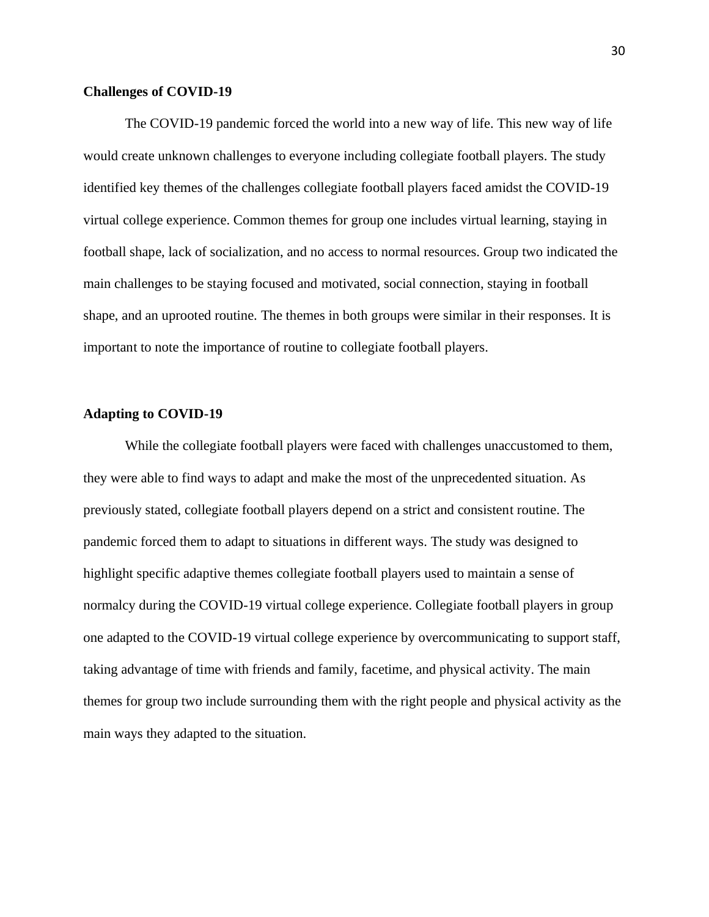## <span id="page-31-0"></span>**Challenges of COVID-19**

The COVID-19 pandemic forced the world into a new way of life. This new way of life would create unknown challenges to everyone including collegiate football players. The study identified key themes of the challenges collegiate football players faced amidst the COVID-19 virtual college experience. Common themes for group one includes virtual learning, staying in football shape, lack of socialization, and no access to normal resources. Group two indicated the main challenges to be staying focused and motivated, social connection, staying in football shape, and an uprooted routine. The themes in both groups were similar in their responses. It is important to note the importance of routine to collegiate football players.

## <span id="page-31-1"></span>**Adapting to COVID-19**

While the collegiate football players were faced with challenges unaccustomed to them, they were able to find ways to adapt and make the most of the unprecedented situation. As previously stated, collegiate football players depend on a strict and consistent routine. The pandemic forced them to adapt to situations in different ways. The study was designed to highlight specific adaptive themes collegiate football players used to maintain a sense of normalcy during the COVID-19 virtual college experience. Collegiate football players in group one adapted to the COVID-19 virtual college experience by overcommunicating to support staff, taking advantage of time with friends and family, facetime, and physical activity. The main themes for group two include surrounding them with the right people and physical activity as the main ways they adapted to the situation.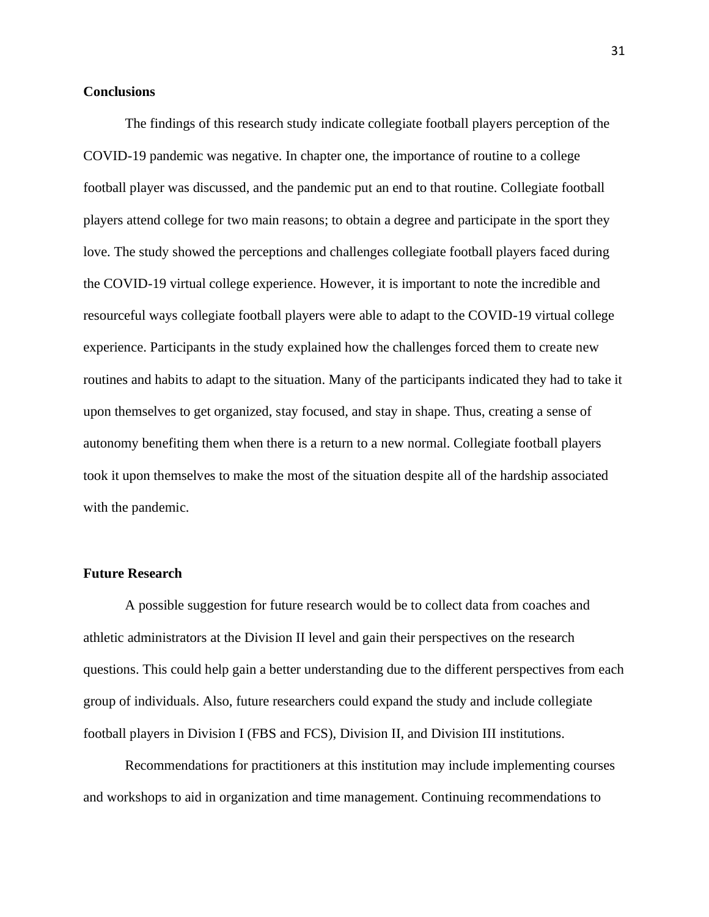## <span id="page-32-0"></span>**Conclusions**

The findings of this research study indicate collegiate football players perception of the COVID-19 pandemic was negative. In chapter one, the importance of routine to a college football player was discussed, and the pandemic put an end to that routine. Collegiate football players attend college for two main reasons; to obtain a degree and participate in the sport they love. The study showed the perceptions and challenges collegiate football players faced during the COVID-19 virtual college experience. However, it is important to note the incredible and resourceful ways collegiate football players were able to adapt to the COVID-19 virtual college experience. Participants in the study explained how the challenges forced them to create new routines and habits to adapt to the situation. Many of the participants indicated they had to take it upon themselves to get organized, stay focused, and stay in shape. Thus, creating a sense of autonomy benefiting them when there is a return to a new normal. Collegiate football players took it upon themselves to make the most of the situation despite all of the hardship associated with the pandemic.

## <span id="page-32-1"></span>**Future Research**

A possible suggestion for future research would be to collect data from coaches and athletic administrators at the Division II level and gain their perspectives on the research questions. This could help gain a better understanding due to the different perspectives from each group of individuals. Also, future researchers could expand the study and include collegiate football players in Division I (FBS and FCS), Division II, and Division III institutions.

Recommendations for practitioners at this institution may include implementing courses and workshops to aid in organization and time management. Continuing recommendations to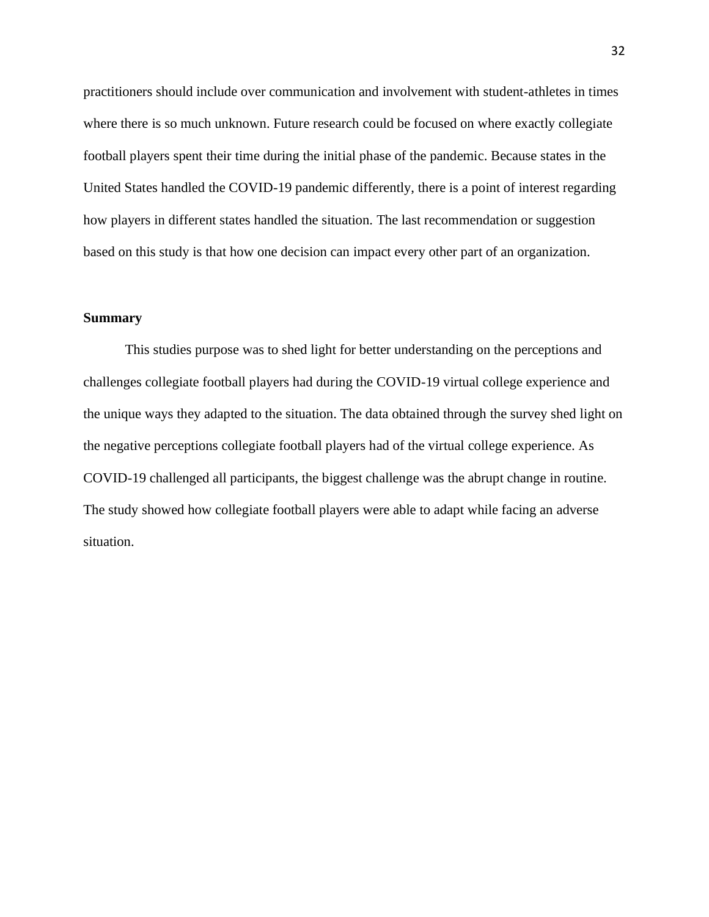practitioners should include over communication and involvement with student-athletes in times where there is so much unknown. Future research could be focused on where exactly collegiate football players spent their time during the initial phase of the pandemic. Because states in the United States handled the COVID-19 pandemic differently, there is a point of interest regarding how players in different states handled the situation. The last recommendation or suggestion based on this study is that how one decision can impact every other part of an organization.

## <span id="page-33-0"></span>**Summary**

This studies purpose was to shed light for better understanding on the perceptions and challenges collegiate football players had during the COVID-19 virtual college experience and the unique ways they adapted to the situation. The data obtained through the survey shed light on the negative perceptions collegiate football players had of the virtual college experience. As COVID-19 challenged all participants, the biggest challenge was the abrupt change in routine. The study showed how collegiate football players were able to adapt while facing an adverse situation.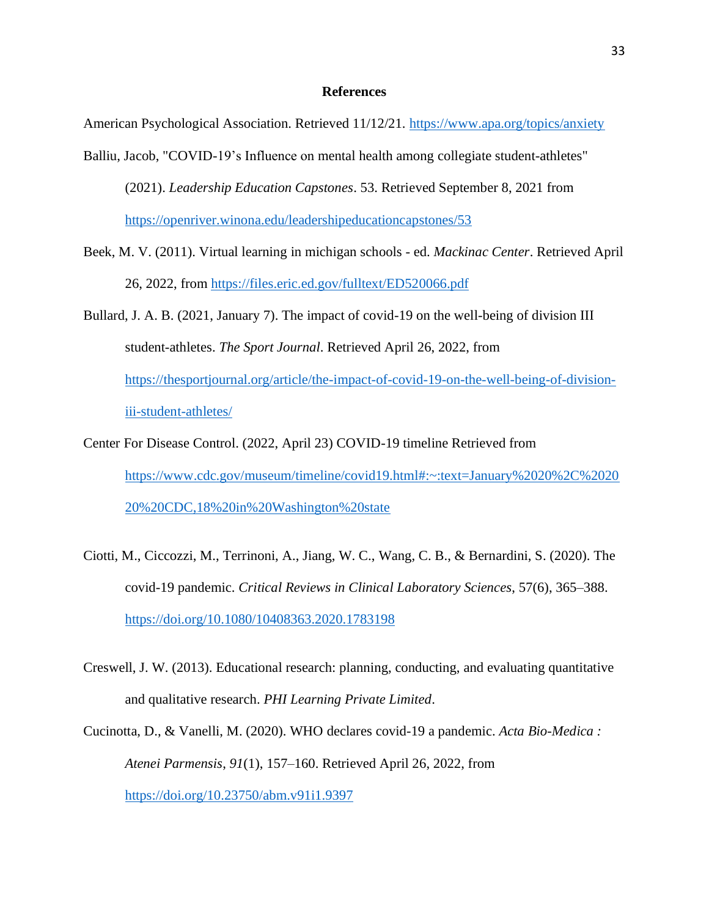### **References**

<span id="page-34-0"></span>American Psychological Association. Retrieved 11/12/21.<https://www.apa.org/topics/anxiety>

- Balliu, Jacob, "COVID-19's Influence on mental health among collegiate student-athletes" (2021). *Leadership Education Capstones*. 53. Retrieved September 8, 2021 from <https://openriver.winona.edu/leadershipeducationcapstones/53>
- Beek, M. V. (2011). Virtual learning in michigan schools ed. *Mackinac Center*. Retrieved April 26, 2022, from<https://files.eric.ed.gov/fulltext/ED520066.pdf>
- Bullard, J. A. B. (2021, January 7). The impact of covid-19 on the well-being of division III student-athletes. *The Sport Journal*. Retrieved April 26, 2022, from [https://thesportjournal.org/article/the-impact-of-covid-19-on-the-well-being-of-division](https://thesportjournal.org/article/the-impact-of-covid-19-on-the-well-being-of-division-iii-student-athletes/)[iii-student-athletes/](https://thesportjournal.org/article/the-impact-of-covid-19-on-the-well-being-of-division-iii-student-athletes/)
- Center For Disease Control. (2022, April 23) COVID-19 timeline Retrieved from [https://www.cdc.gov/museum/timeline/covid19.html#:~:text=January%2020%2C%2020](https://www.cdc.gov/museum/timeline/covid19.html#:~:text=January%2020%2C%202020%20CDC,18%20in%20Washington%20state) [20%20CDC,18%20in%20Washington%20state](https://www.cdc.gov/museum/timeline/covid19.html#:~:text=January%2020%2C%202020%20CDC,18%20in%20Washington%20state)
- Ciotti, M., Ciccozzi, M., Terrinoni, A., Jiang, W. C., Wang, C. B., & Bernardini, S. (2020). The covid-19 pandemic. *Critical Reviews in Clinical Laboratory Sciences*, 57(6), 365–388. <https://doi.org/10.1080/10408363.2020.1783198>
- Creswell, J. W. (2013). Educational research: planning, conducting, and evaluating quantitative and qualitative research. *PHI Learning Private Limited*.
- Cucinotta, D., & Vanelli, M. (2020). WHO declares covid-19 a pandemic. *Acta Bio-Medica : Atenei Parmensis*, *91*(1), 157–160. Retrieved April 26, 2022, from <https://doi.org/10.23750/abm.v91i1.9397>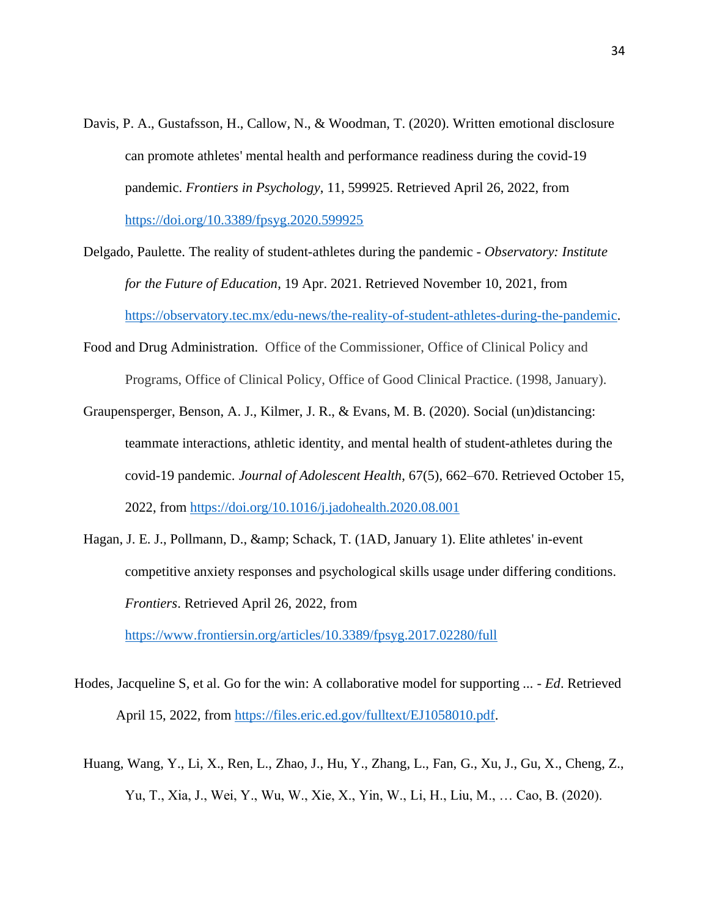- Davis, P. A., Gustafsson, H., Callow, N., & Woodman, T. (2020). Written emotional disclosure can promote athletes' mental health and performance readiness during the covid-19 pandemic. *Frontiers in Psychology*, 11, 599925. Retrieved April 26, 2022, from <https://doi.org/10.3389/fpsyg.2020.599925>
- Delgado, Paulette. The reality of student-athletes during the pandemic *Observatory: Institute for the Future of Education*, 19 Apr. 2021. Retrieved November 10, 2021, from [https://observatory.tec.mx/edu-news/the-reality-of-student-athletes-during-the-pandemic.](https://observatory.tec.mx/edu-news/the-reality-of-student-athletes-during-the-pandemic)
- Food and Drug Administration. Office of the Commissioner, Office of Clinical Policy and Programs, Office of Clinical Policy, Office of Good Clinical Practice. (1998, January).
- Graupensperger, Benson, A. J., Kilmer, J. R., & Evans, M. B. (2020). Social (un)distancing: teammate interactions, athletic identity, and mental health of student-athletes during the covid-19 pandemic. *Journal of Adolescent Health*, 67(5), 662–670. Retrieved October 15, 2022, from<https://doi.org/10.1016/j.jadohealth.2020.08.001>
- Hagan, J. E. J., Pollmann, D., & amp; Schack, T. (1AD, January 1). Elite athletes' in-event competitive anxiety responses and psychological skills usage under differing conditions. *Frontiers*. Retrieved April 26, 2022, from

<https://www.frontiersin.org/articles/10.3389/fpsyg.2017.02280/full>

- Hodes, Jacqueline S, et al. Go for the win: A collaborative model for supporting *... - Ed*. Retrieved April 15, 2022, from [https://files.eric.ed.gov/fulltext/EJ1058010.pdf.](https://files.eric.ed.gov/fulltext/EJ1058010.pdf)
- Huang, Wang, Y., Li, X., Ren, L., Zhao, J., Hu, Y., Zhang, L., Fan, G., Xu, J., Gu, X., Cheng, Z., Yu, T., Xia, J., Wei, Y., Wu, W., Xie, X., Yin, W., Li, H., Liu, M., … Cao, B. (2020).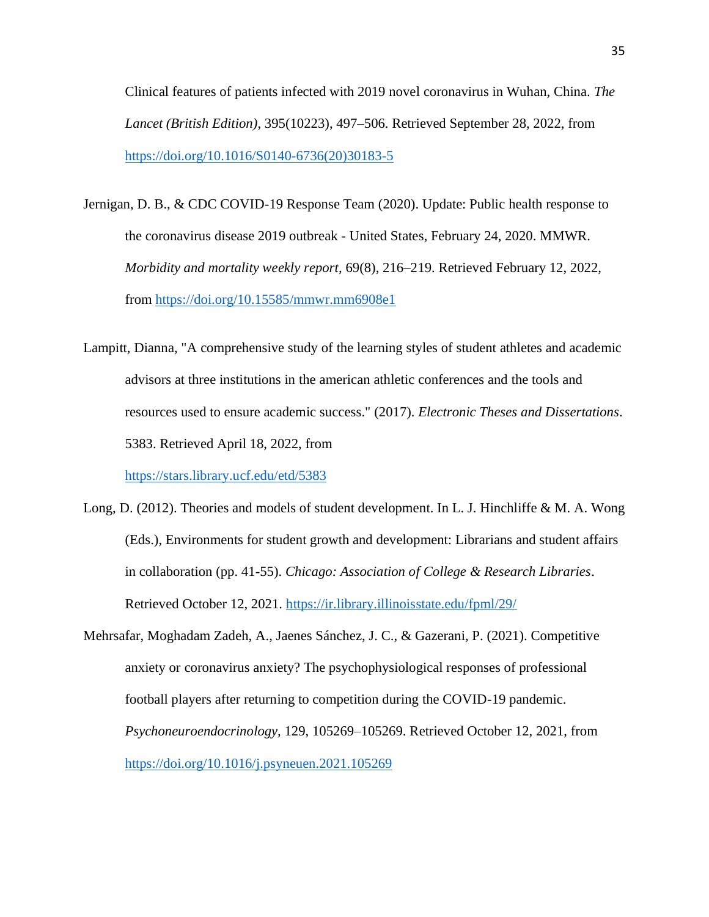Clinical features of patients infected with 2019 novel coronavirus in Wuhan, China. *The Lancet (British Edition)*, 395(10223), 497–506. Retrieved September 28, 2022, from [https://doi.org/10.1016/S0140-6736\(20\)30183-5](https://doi.org/10.1016/S0140-6736(20)30183-5)

- Jernigan, D. B., & CDC COVID-19 Response Team (2020). Update: Public health response to the coronavirus disease 2019 outbreak - United States, February 24, 2020. MMWR. *Morbidity and mortality weekly report*, 69(8), 216–219. Retrieved February 12, 2022, from<https://doi.org/10.15585/mmwr.mm6908e1>
- Lampitt, Dianna, "A comprehensive study of the learning styles of student athletes and academic advisors at three institutions in the american athletic conferences and the tools and resources used to ensure academic success." (2017). *Electronic Theses and Dissertations*. 5383. Retrieved April 18, 2022, from

<https://stars.library.ucf.edu/etd/5383>

- Long, D. (2012). Theories and models of student development. In L. J. Hinchliffe & M. A. Wong (Eds.), Environments for student growth and development: Librarians and student affairs in collaboration (pp. 41-55). *Chicago: Association of College & Research Libraries*. Retrieved October 12, 2021.<https://ir.library.illinoisstate.edu/fpml/29/>
- Mehrsafar, Moghadam Zadeh, A., Jaenes Sánchez, J. C., & Gazerani, P. (2021). Competitive anxiety or coronavirus anxiety? The psychophysiological responses of professional football players after returning to competition during the COVID-19 pandemic. *Psychoneuroendocrinology,* 129, 105269–105269. Retrieved October 12, 2021, from <https://doi.org/10.1016/j.psyneuen.2021.105269>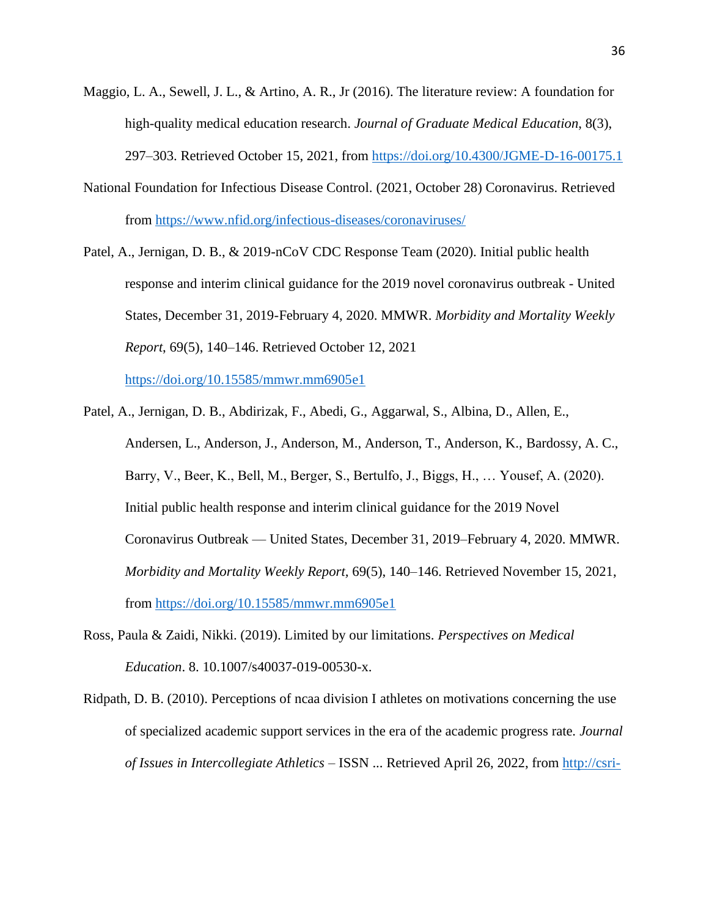- Maggio, L. A., Sewell, J. L., & Artino, A. R., Jr (2016). The literature review: A foundation for high-quality medical education research. *Journal of Graduate Medical Education*, 8(3), 297–303. Retrieved October 15, 2021, from<https://doi.org/10.4300/JGME-D-16-00175.1>
- National Foundation for Infectious Disease Control. (2021, October 28) Coronavirus. Retrieved from<https://www.nfid.org/infectious-diseases/coronaviruses/>
- Patel, A., Jernigan, D. B., & 2019-nCoV CDC Response Team (2020). Initial public health response and interim clinical guidance for the 2019 novel coronavirus outbreak - United States, December 31, 2019-February 4, 2020. MMWR. *Morbidity and Mortality Weekly Report*, 69(5), 140–146. Retrieved October 12, 2021

<https://doi.org/10.15585/mmwr.mm6905e1>

- Patel, A., Jernigan, D. B., Abdirizak, F., Abedi, G., Aggarwal, S., Albina, D., Allen, E., Andersen, L., Anderson, J., Anderson, M., Anderson, T., Anderson, K., Bardossy, A. C., Barry, V., Beer, K., Bell, M., Berger, S., Bertulfo, J., Biggs, H., … Yousef, A. (2020). Initial public health response and interim clinical guidance for the 2019 Novel Coronavirus Outbreak — United States, December 31, 2019–February 4, 2020. MMWR. *Morbidity and Mortality Weekly Report,* 69(5), 140–146. Retrieved November 15, 2021, from<https://doi.org/10.15585/mmwr.mm6905e1>
- Ross, Paula & Zaidi, Nikki. (2019). Limited by our limitations. *Perspectives on Medical Education*. 8. 10.1007/s40037-019-00530-x.
- Ridpath, D. B. (2010). Perceptions of ncaa division I athletes on motivations concerning the use of specialized academic support services in the era of the academic progress rate. *Journal of Issues in Intercollegiate Athletics* – ISSN ... Retrieved April 26, 2022, from [http://csri-](http://csri-jiia.org/old/documents/publications/research_articles/2010/JIIA_2010_3_14_253_271_Perceptions_of_NCAA_Division_I_Athletes.pdf)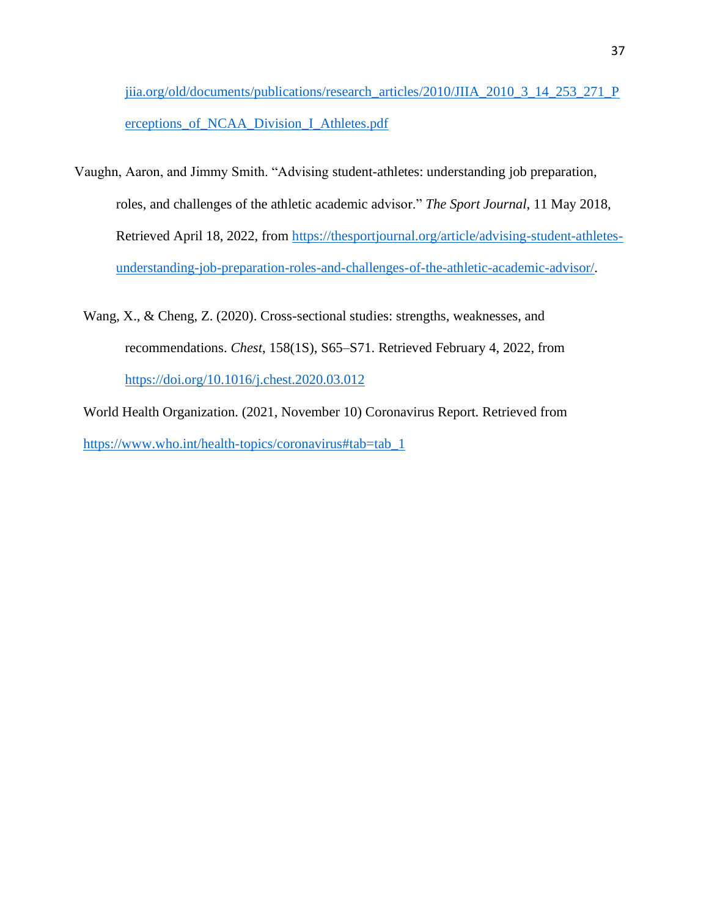[jiia.org/old/documents/publications/research\\_articles/2010/JIIA\\_2010\\_3\\_14\\_253\\_271\\_P](http://csri-jiia.org/old/documents/publications/research_articles/2010/JIIA_2010_3_14_253_271_Perceptions_of_NCAA_Division_I_Athletes.pdf) [erceptions\\_of\\_NCAA\\_Division\\_I\\_Athletes.pdf](http://csri-jiia.org/old/documents/publications/research_articles/2010/JIIA_2010_3_14_253_271_Perceptions_of_NCAA_Division_I_Athletes.pdf)

- Vaughn, Aaron, and Jimmy Smith. "Advising student-athletes: understanding job preparation, roles, and challenges of the athletic academic advisor." *The Sport Journal*, 11 May 2018, Retrieved April 18, 2022, from [https://thesportjournal.org/article/advising-student-athletes](https://thesportjournal.org/article/advising-student-athletes-understanding-job-preparation-roles-and-challenges-of-the-athletic-academic-advisor/)[understanding-job-preparation-roles-and-challenges-of-the-athletic-academic-advisor/.](https://thesportjournal.org/article/advising-student-athletes-understanding-job-preparation-roles-and-challenges-of-the-athletic-academic-advisor/)
	- Wang, X., & Cheng, Z. (2020). Cross-sectional studies: strengths, weaknesses, and recommendations. *Chest*, 158(1S), S65–S71. Retrieved February 4, 2022, from <https://doi.org/10.1016/j.chest.2020.03.012>

World Health Organization. (2021, November 10) Coronavirus Report. Retrieved from [https://www.who.int/health-topics/coronavirus#tab=tab\\_1](https://www.who.int/health-topics/coronavirus#tab=tab_1)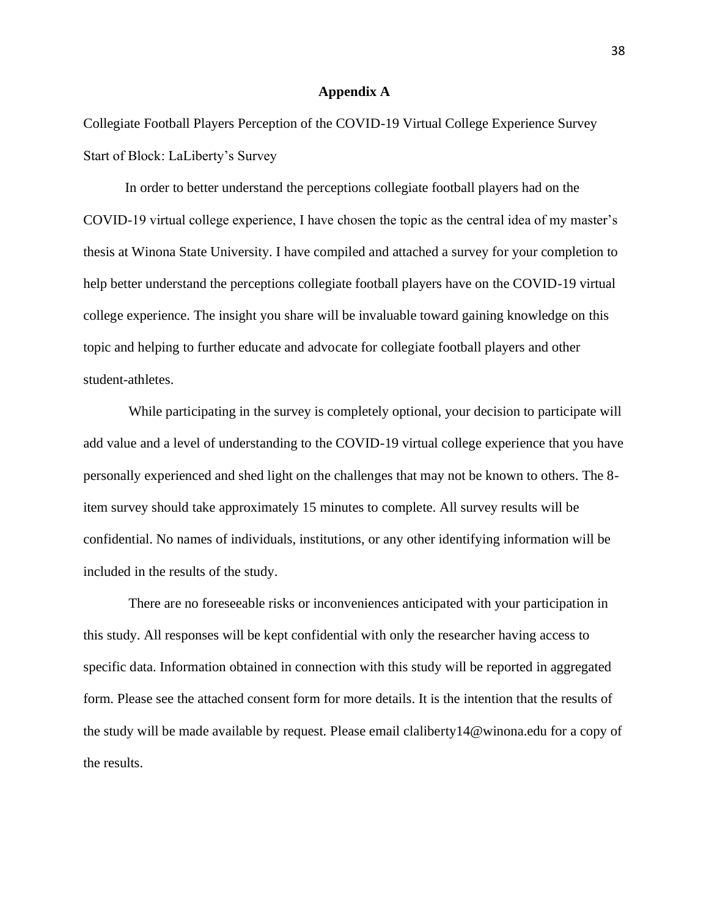#### **Appendix A**

<span id="page-39-0"></span>Collegiate Football Players Perception of the COVID-19 Virtual College Experience Survey Start of Block: LaLiberty's Survey

In order to better understand the perceptions collegiate football players had on the COVID-19 virtual college experience, I have chosen the topic as the central idea of my master's thesis at Winona State University. I have compiled and attached a survey for your completion to help better understand the perceptions collegiate football players have on the COVID-19 virtual college experience. The insight you share will be invaluable toward gaining knowledge on this topic and helping to further educate and advocate for collegiate football players and other student-athletes.

While participating in the survey is completely optional, your decision to participate will add value and a level of understanding to the COVID-19 virtual college experience that you have personally experienced and shed light on the challenges that may not be known to others. The 8 item survey should take approximately 15 minutes to complete. All survey results will be confidential. No names of individuals, institutions, or any other identifying information will be included in the results of the study.

There are no foreseeable risks or inconveniences anticipated with your participation in this study. All responses will be kept confidential with only the researcher having access to specific data. Information obtained in connection with this study will be reported in aggregated form. Please see the attached consent form for more details. It is the intention that the results of the study will be made available by request. Please email claliberty14@winona.edu for a copy of the results.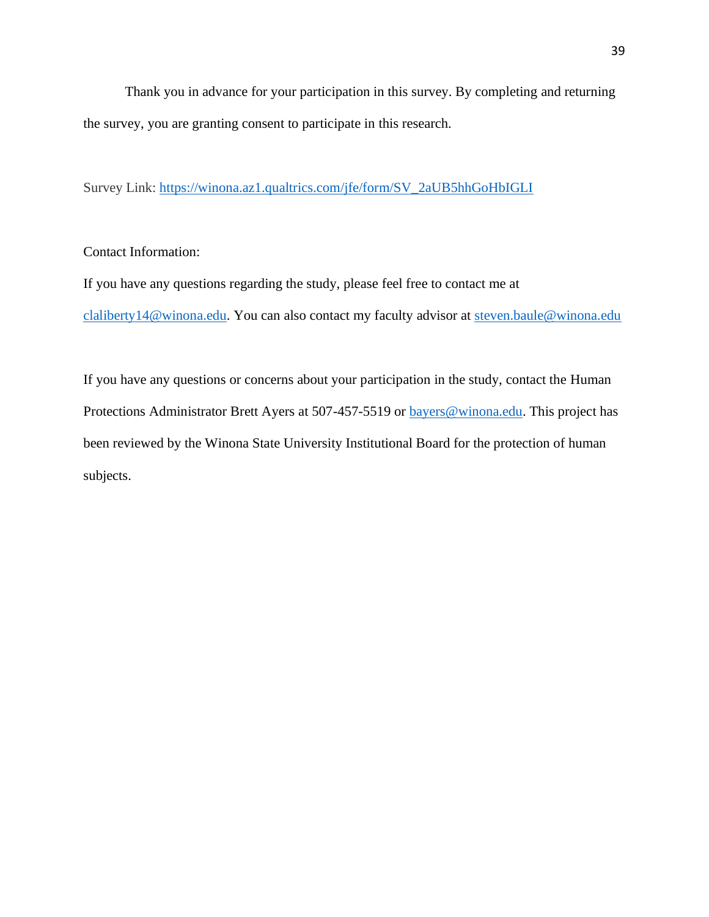Thank you in advance for your participation in this survey. By completing and returning the survey, you are granting consent to participate in this research.

Survey Link: [https://winona.az1.qualtrics.com/jfe/form/SV\\_2aUB5hhGoHbIGLI](https://winona.az1.qualtrics.com/jfe/form/SV_2aUB5hhGoHbIGLI)

## Contact Information:

If you have any questions regarding the study, please feel free to contact me at [claliberty14@winona.edu.](mailto:claliberty14@winona.edu) You can also contact my faculty advisor at [steven.baule@winona.edu](mailto:steven.baule@winona.edu)

<span id="page-40-0"></span>If you have any questions or concerns about your participation in the study, contact the Human Protections Administrator Brett Ayers at 507-457-5519 or [bayers@winona.edu.](mailto:bayers@winona.edu) This project has been reviewed by the Winona State University Institutional Board for the protection of human subjects.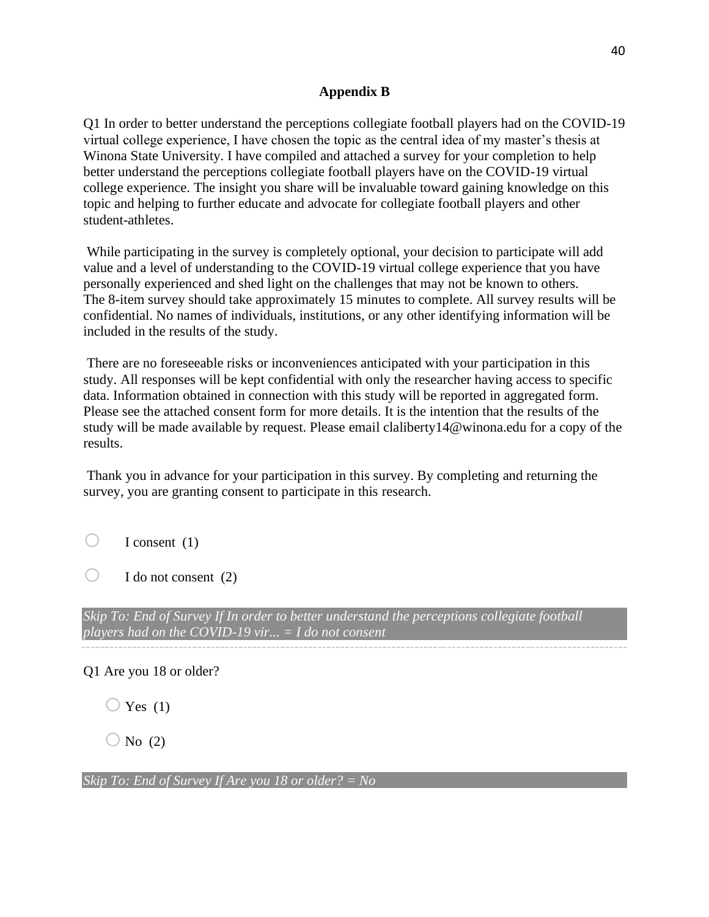## **Appendix B**

Q1 In order to better understand the perceptions collegiate football players had on the COVID-19 virtual college experience, I have chosen the topic as the central idea of my master's thesis at Winona State University. I have compiled and attached a survey for your completion to help better understand the perceptions collegiate football players have on the COVID-19 virtual college experience. The insight you share will be invaluable toward gaining knowledge on this topic and helping to further educate and advocate for collegiate football players and other student-athletes.

While participating in the survey is completely optional, your decision to participate will add value and a level of understanding to the COVID-19 virtual college experience that you have personally experienced and shed light on the challenges that may not be known to others. The 8-item survey should take approximately 15 minutes to complete. All survey results will be confidential. No names of individuals, institutions, or any other identifying information will be included in the results of the study.

There are no foreseeable risks or inconveniences anticipated with your participation in this study. All responses will be kept confidential with only the researcher having access to specific data. Information obtained in connection with this study will be reported in aggregated form. Please see the attached consent form for more details. It is the intention that the results of the study will be made available by request. Please email claliberty14@winona.edu for a copy of the results.

Thank you in advance for your participation in this survey. By completing and returning the survey, you are granting consent to participate in this research.

 $\bigcirc$  I consent (1)

 $\bigcirc$  I do not consent (2)

*Skip To: End of Survey If In order to better understand the perceptions collegiate football players had on the COVID-19 vir... = I do not consent*

Q1 Are you 18 or older?

 $\bigcirc$  Yes (1)

 $\bigcirc$  No (2)

*Skip To: End of Survey If Are you 18 or older? = No*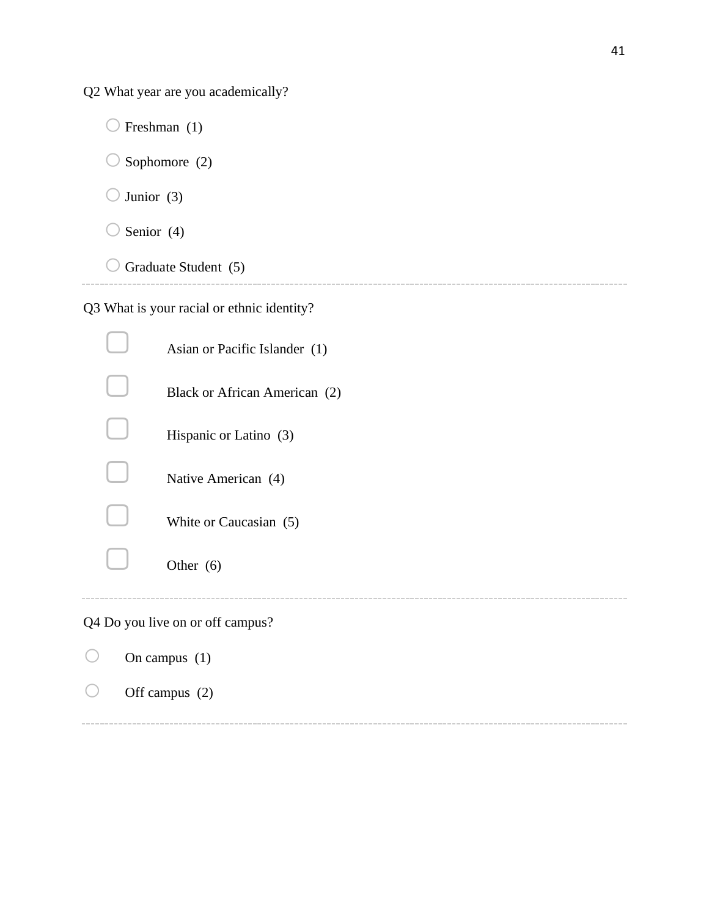Q2 What year are you academically?

 $\bigcirc$  Freshman (1)  $\bigcirc$  Sophomore (2)  $\bigcirc$  Junior (3)  $\bigcirc$  Senior (4)

 $\bigcirc$  Graduate Student (5)

Q3 What is your racial or ethnic identity?

| Asian or Pacific Islander (1)    |
|----------------------------------|
| Black or African American (2)    |
| Hispanic or Latino (3)           |
| Native American (4)              |
| White or Caucasian (5)           |
| Other $(6)$                      |
| Q4 Do you live on or off campus? |

| On campus $(1)$  |  |
|------------------|--|
| Off campus $(2)$ |  |